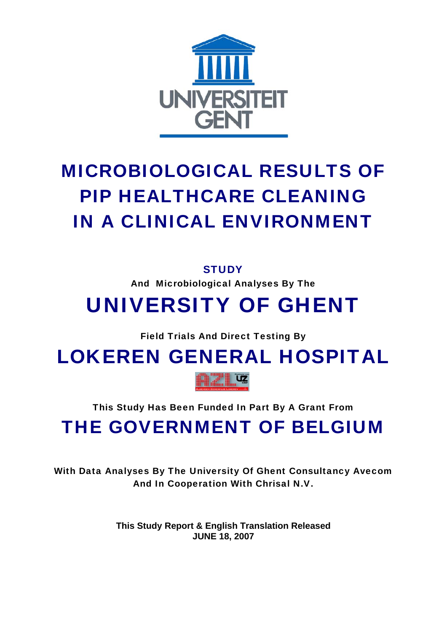

# MICROBIOLOGICAL RESULTS OF PIP HEALTHCARE CLEANING IN A CLINICAL ENVIRONMENT

### **STUDY**

And Microbiological Analyses By The

## UNIVERSITY OF GHENT

Field Trials And Direct Testing By

LOKEREN GENERAL HOSPITAL



This Study Has Been Funded In Part By A Grant From

THE GOVERNMENT OF BELGIUM

With Data Analyses By The University Of Ghent Consultancy Avecom And In Cooperation With Chrisal N.V.

> **This Study Report & English Translation Released JUNE 18, 2007**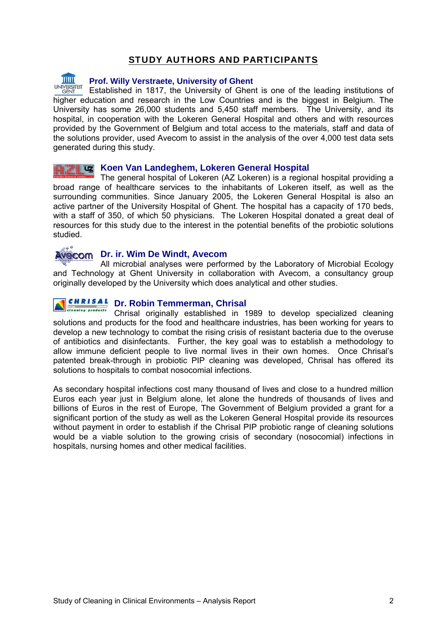### STUDY AUTHORS AND PARTICIPANTS

TIIII

#### **Prof. Willy Verstraete, University of Ghent**

Established in 1817, the University of Ghent is one of the leading institutions of higher education and research in the Low Countries and is the biggest in Belgium. The University has some 26,000 students and 5,450 staff members. The University, and its hospital, in cooperation with the Lokeren General Hospital and others and with resources provided by the Government of Belgium and total access to the materials, staff and data of the solutions provider, used Avecom to assist in the analysis of the over 4,000 test data sets generated during this study.

#### **Koen Van Landeghem, Lokeren General Hospital**

The general hospital of Lokeren (AZ Lokeren) is a regional hospital providing a broad range of healthcare services to the inhabitants of Lokeren itself, as well as the surrounding communities. Since January 2005, the Lokeren General Hospital is also an active partner of the University Hospital of Ghent. The hospital has a capacity of 170 beds, with a staff of 350, of which 50 physicians. The Lokeren Hospital donated a great deal of resources for this study due to the interest in the potential benefits of the probiotic solutions studied.

### **Avecom** Dr. ir. Wim De Windt, Avecom

All microbial analyses were performed by the Laboratory of Microbial Ecology [and Techno](http://www.avecom.be/PROTOSITES/avecom)logy at Ghent University in collaboration with Avecom, a consultancy group originally developed by the University which does analytical and other studies.

#### **CHRISAL Dr. Robin Temmerman, Chrisal**  cleaning products

Chrisal originally established in 1989 to develop specialized cleaning solutions and products for the food and healthcare industries, has been working for years to develop a new technology to combat the rising crisis of resistant bacteria due to the overuse of antibiotics and disinfectants. Further, the key goal was to establish a methodology to allow immune deficient people to live normal lives in their own homes. Once Chrisal's patented break-through in probiotic PIP cleaning was developed, Chrisal has offered its solutions to hospitals to combat nosocomial infections.

As secondary hospital infections cost many thousand of lives and close to a hundred million Euros each year just in Belgium alone, let alone the hundreds of thousands of lives and billions of Euros in the rest of Europe, The Government of Belgium provided a grant for a significant portion of the study as well as the Lokeren General Hospital provide its resources without payment in order to establish if the Chrisal PIP probiotic range of cleaning solutions would be a viable solution to the growing crisis of secondary (nosocomial) infections in hospitals, nursing homes and other medical facilities.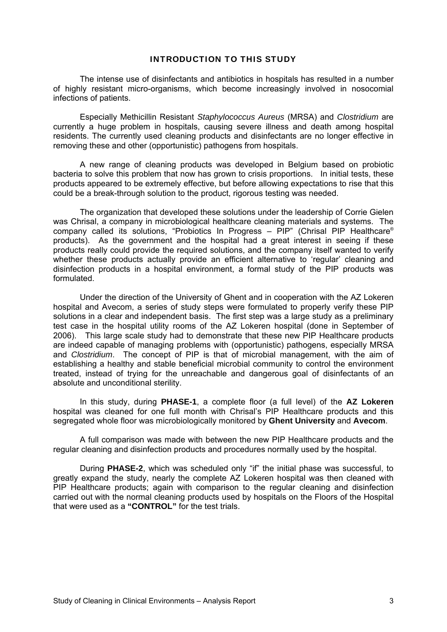#### INTRODUCTION TO THIS STUDY

 The intense use of disinfectants and antibiotics in hospitals has resulted in a number of highly resistant micro-organisms, which become increasingly involved in nosocomial infections of patients.

Especially Methicillin Resistant *Staphylococcus Aureus* (MRSA) and *Clostridium* are currently a huge problem in hospitals, causing severe illness and death among hospital residents. The currently used cleaning products and disinfectants are no longer effective in removing these and other (opportunistic) pathogens from hospitals.

A new range of cleaning products was developed in Belgium based on probiotic bacteria to solve this problem that now has grown to crisis proportions. In initial tests, these products appeared to be extremely effective, but before allowing expectations to rise that this could be a break-through solution to the product, rigorous testing was needed.

The organization that developed these solutions under the leadership of Corrie Gielen was Chrisal, a company in microbiological healthcare cleaning materials and systems. The company called its solutions, "Probiotics In Progress – PIP" (Chrisal PIP Healthcare® products). As the government and the hospital had a great interest in seeing if these products really could provide the required solutions, and the company itself wanted to verify whether these products actually provide an efficient alternative to 'regular' cleaning and disinfection products in a hospital environment, a formal study of the PIP products was formulated.

Under the direction of the University of Ghent and in cooperation with the AZ Lokeren hospital and Avecom, a series of study steps were formulated to properly verify these PIP solutions in a clear and independent basis. The first step was a large study as a preliminary test case in the hospital utility rooms of the AZ Lokeren hospital (done in September of 2006). This large scale study had to demonstrate that these new PIP Healthcare products are indeed capable of managing problems with (opportunistic) pathogens, especially MRSA and *Clostridium*. The concept of PIP is that of microbial management, with the aim of establishing a healthy and stable beneficial microbial community to control the environment treated, instead of trying for the unreachable and dangerous goal of disinfectants of an absolute and unconditional sterility.

 In this study, during **PHASE-1**, a complete floor (a full level) of the **AZ Lokeren** hospital was cleaned for one full month with Chrisal's PIP Healthcare products and this segregated whole floor was microbiologically monitored by **Ghent University** and **Avecom**.

A full comparison was made with between the new PIP Healthcare products and the regular cleaning and disinfection products and procedures normally used by the hospital.

 During **PHASE-2**, which was scheduled only "if" the initial phase was successful, to greatly expand the study, nearly the complete AZ Lokeren hospital was then cleaned with PIP Healthcare products; again with comparison to the regular cleaning and disinfection carried out with the normal cleaning products used by hospitals on the Floors of the Hospital that were used as a **"CONTROL"** for the test trials.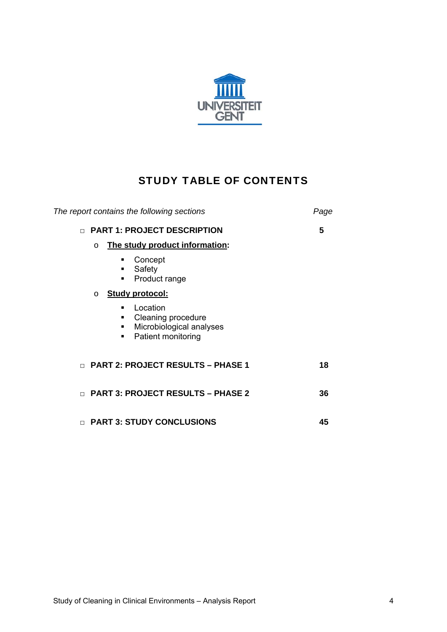

### STUDY TABLE OF CONTENTS

| The report contains the following sections                                                      | Page |
|-------------------------------------------------------------------------------------------------|------|
| <b>PART 1: PROJECT DESCRIPTION</b><br>$\Box$                                                    | 5    |
| The study product information:<br>$\Omega$                                                      |      |
| Concept<br>Safety<br>٠<br>Product range<br>٠                                                    |      |
| <b>Study protocol:</b><br>$\circ$                                                               |      |
| Location<br>Cleaning procedure<br>٠<br>Microbiological analyses<br>٠<br>Patient monitoring<br>٠ |      |
| <b>PART 2: PROJECT RESULTS - PHASE 1</b><br>$\Box$                                              | 18   |
| <b>PART 3: PROJECT RESULTS - PHASE 2</b><br>$\Box$                                              | 36   |
| <b>PART 3: STUDY CONCLUSIONS</b><br>$\Box$                                                      | 45   |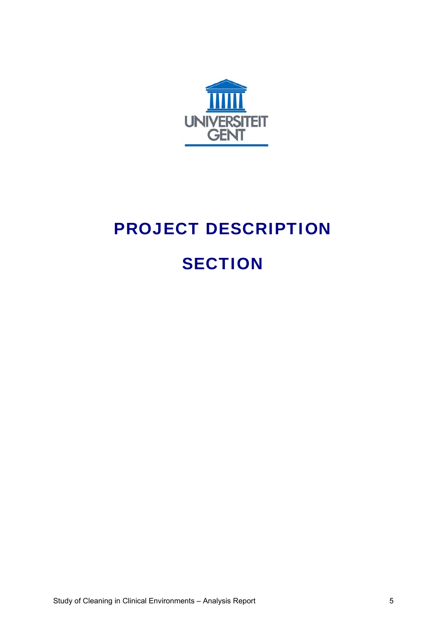

# PROJECT DESCRIPTION **SECTION**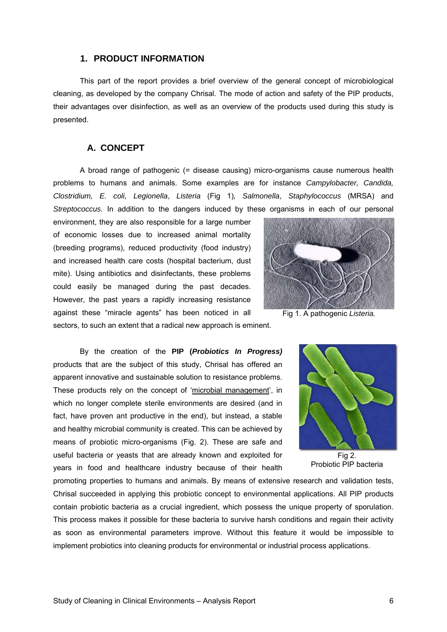#### **1. PRODUCT INFORMATION**

This part of the report provides a brief overview of the general concept of microbiological cleaning, as developed by the company Chrisal. The mode of action and safety of the PIP products, their advantages over disinfection, as well as an overview of the products used during this study is presented.

#### **A. CONCEPT**

A broad range of pathogenic (= disease causing) micro-organisms cause numerous health problems to humans and animals. Some examples are for instance *Campylobacter, Candida, Clostridium, E. coli, Legionella*, *Listeria* (Fig 1)*, Salmonella*, *Staphylococcus* (MRSA) and *Streptococcus.* In addition to the dangers induced by these organisms in each of our personal

environment, they are also responsible for a large number of economic losses due to increased animal mortality (breeding programs), reduced productivity (food industry) and increased health care costs (hospital bacterium, dust mite). Using antibiotics and disinfectants, these problems could easily be managed during the past decades. However, the past years a rapidly increasing resistance against these "miracle agents" has been noticed in all



sectors, to such an extent that a radical new approach is eminent.

By the creation of the **PIP (***Probiotics In Progress)* products that are the subject of this study, Chrisal has offered an apparent innovative and sustainable solution to resistance problems. These products rely on the concept of 'microbial management', in which no longer complete sterile environments are desired (and in fact, have proven ant productive in the end), but instead, a stable and healthy microbial community is created. This can be achieved by means of probiotic micro-organisms (Fig. 2). These are safe and useful bacteria or yeasts that are already known and exploited for years in food and healthcare industry because of their health



Fig 2. Probiotic PIP bacteria

promoting properties to humans and animals. By means of extensive research and validation tests, Chrisal succeeded in applying this probiotic concept to environmental applications. All PIP products contain probiotic bacteria as a crucial ingredient, which possess the unique property of sporulation. This process makes it possible for these bacteria to survive harsh conditions and regain their activity as soon as environmental parameters improve. Without this feature it would be impossible to implement probiotics into cleaning products for environmental or industrial process applications.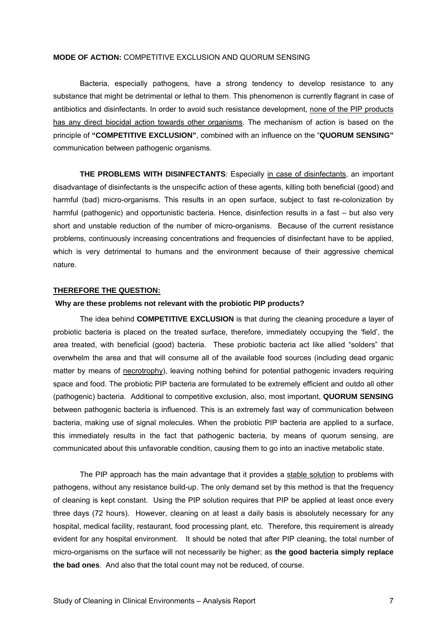#### **MODE OF ACTION:** COMPETITIVE EXCLUSION AND QUORUM SENSING

 Bacteria, especially pathogens, have a strong tendency to develop resistance to any substance that might be detrimental or lethal to them. This phenomenon is currently flagrant in case of antibiotics and disinfectants. In order to avoid such resistance development, none of the PIP products has any direct biocidal action towards other organisms. The mechanism of action is based on the principle of **"COMPETITIVE EXCLUSION"**, combined with an influence on the "**QUORUM SENSING"** communication between pathogenic organisms.

**THE PROBLEMS WITH DISINFECTANTS**: Especially in case of disinfectants, an important disadvantage of disinfectants is the unspecific action of these agents, killing both beneficial (good) and harmful (bad) micro-organisms. This results in an open surface, subject to fast re-colonization by harmful (pathogenic) and opportunistic bacteria. Hence, disinfection results in a fast – but also very short and unstable reduction of the number of micro-organisms. Because of the current resistance problems, continuously increasing concentrations and frequencies of disinfectant have to be applied, which is very detrimental to humans and the environment because of their aggressive chemical nature.

#### **THEREFORE THE QUESTION:**

#### **Why are these problems not relevant with the probiotic PIP products?**

The idea behind **COMPETITIVE EXCLUSION** is that during the cleaning procedure a layer of probiotic bacteria is placed on the treated surface, therefore, immediately occupying the 'field', the area treated, with beneficial (good) bacteria. These probiotic bacteria act like allied "solders" that overwhelm the area and that will consume all of the available food sources (including dead organic matter by means of necrotrophy), leaving nothing behind for potential pathogenic invaders requiring space and food. The probiotic PIP bacteria are formulated to be extremely efficient and outdo all other (pathogenic) bacteria. Additional to competitive exclusion, also, most important, **QUORUM SENSING** between pathogenic bacteria is influenced. This is an extremely fast way of communication between bacteria, making use of signal molecules. When the probiotic PIP bacteria are applied to a surface, this immediately results in the fact that pathogenic bacteria, by means of quorum sensing, are communicated about this unfavorable condition, causing them to go into an inactive metabolic state.

 The PIP approach has the main advantage that it provides a stable solution to problems with pathogens, without any resistance build-up. The only demand set by this method is that the frequency of cleaning is kept constant. Using the PIP solution requires that PIP be applied at least once every three days (72 hours). However, cleaning on at least a daily basis is absolutely necessary for any hospital, medical facility, restaurant, food processing plant, etc. Therefore, this requirement is already evident for any hospital environment. It should be noted that after PIP cleaning, the total number of micro-organisms on the surface will not necessarily be higher; as **the good bacteria simply replace the bad ones**. And also that the total count may not be reduced, of course.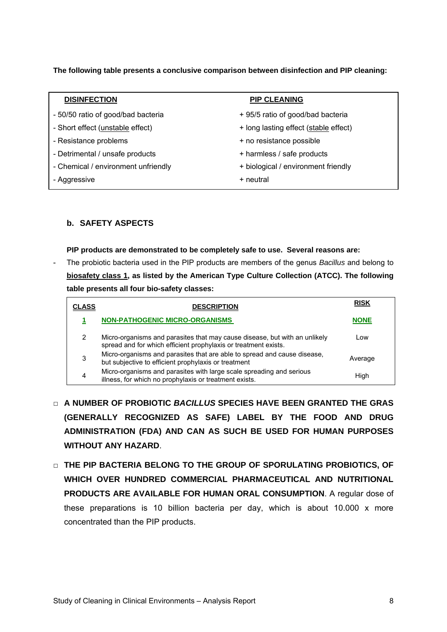**The following table presents a conclusive comparison between disinfection and PIP cleaning:** 

| <b>DISINFECTION</b>                      | <b>PIP CLEANING</b>                   |
|------------------------------------------|---------------------------------------|
| - 50/50 ratio of good/bad bacteria       | + 95/5 ratio of good/bad bacteria     |
| - Short effect ( <i>unstable</i> effect) | + long lasting effect (stable effect) |
| - Resistance problems                    | + no resistance possible              |
| - Detrimental / unsafe products          | + harmless / safe products            |
| - Chemical / environment unfriendly      | + biological / environment friendly   |
| - Aggressive                             | + neutral                             |

#### **b. SAFETY ASPECTS**

#### **PIP products are demonstrated to be completely safe to use. Several reasons are:**

- The probiotic bacteria used in the PIP products are members of the genus *Bacillus* and belong to **biosafety class 1, as listed by the American Type Culture Collection (ATCC). The following table presents all four bio-safety classes:** 

| CLASS | <b>DESCRIPTION</b>                                                                                                                            | <u>RISK</u> |
|-------|-----------------------------------------------------------------------------------------------------------------------------------------------|-------------|
|       | <b>NON-PATHOGENIC MICRO-ORGANISMS</b>                                                                                                         | <b>NONE</b> |
| 2     | Micro-organisms and parasites that may cause disease, but with an unlikely<br>spread and for which efficient prophylaxis or treatment exists. | Low         |
| 3     | Micro-organisms and parasites that are able to spread and cause disease,<br>but subjective to efficient prophylaxis or treatment              | Average     |
| 4     | Micro-organisms and parasites with large scale spreading and serious<br>illness, for which no prophylaxis or treatment exists.                | High        |

- □ **A NUMBER OF PROBIOTIC** *BACILLUS* **SPECIES HAVE BEEN GRANTED THE GRAS (GENERALLY RECOGNIZED AS SAFE) LABEL BY THE FOOD AND DRUG ADMINISTRATION (FDA) AND CAN AS SUCH BE USED FOR HUMAN PURPOSES WITHOUT ANY HAZARD**.
- □ **THE PIP BACTERIA BELONG TO THE GROUP OF SPORULATING PROBIOTICS, OF WHICH OVER HUNDRED COMMERCIAL PHARMACEUTICAL AND NUTRITIONAL PRODUCTS ARE AVAILABLE FOR HUMAN ORAL CONSUMPTION**. A regular dose of these preparations is 10 billion bacteria per day, which is about 10.000 x more concentrated than the PIP products.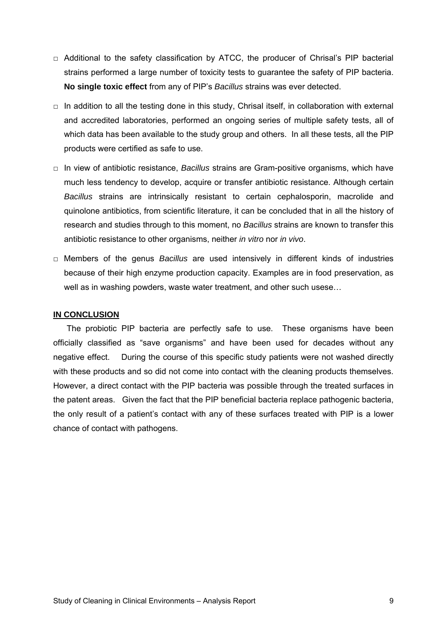- □ Additional to the safety classification by ATCC, the producer of Chrisal's PIP bacterial strains performed a large number of toxicity tests to guarantee the safety of PIP bacteria. **No single toxic effect** from any of PIP's *Bacillus* strains was ever detected.
- $\Box$  In addition to all the testing done in this study, Chrisal itself, in collaboration with external and accredited laboratories, performed an ongoing series of multiple safety tests, all of which data has been available to the study group and others. In all these tests, all the PIP products were certified as safe to use.
- □ In view of antibiotic resistance, *Bacillus* strains are Gram-positive organisms, which have much less tendency to develop, acquire or transfer antibiotic resistance. Although certain *Bacillus* strains are intrinsically resistant to certain cephalosporin, macrolide and quinolone antibiotics, from scientific literature, it can be concluded that in all the history of research and studies through to this moment, no *Bacillus* strains are known to transfer this antibiotic resistance to other organisms, neither *in vitro* nor *in vivo*.
- □ Members of the genus *Bacillus* are used intensively in different kinds of industries because of their high enzyme production capacity. Examples are in food preservation, as well as in washing powders, waste water treatment, and other such usese…

#### **IN CONCLUSION**

The probiotic PIP bacteria are perfectly safe to use. These organisms have been officially classified as "save organisms" and have been used for decades without any negative effect. During the course of this specific study patients were not washed directly with these products and so did not come into contact with the cleaning products themselves. However, a direct contact with the PIP bacteria was possible through the treated surfaces in the patent areas. Given the fact that the PIP beneficial bacteria replace pathogenic bacteria, the only result of a patient's contact with any of these surfaces treated with PIP is a lower chance of contact with pathogens.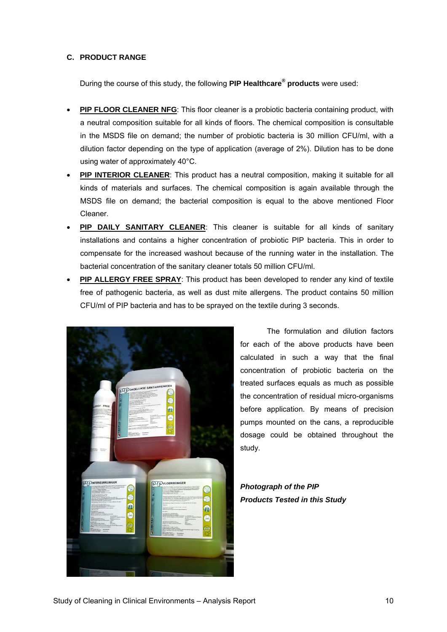#### **C. PRODUCT RANGE**

During the course of this study, the following **PIP Healthcare® products** were used:

- **PIP FLOOR CLEANER NFG**: This floor cleaner is a probiotic bacteria containing product, with a neutral composition suitable for all kinds of floors. The chemical composition is consultable in the MSDS file on demand; the number of probiotic bacteria is 30 million CFU/ml, with a dilution factor depending on the type of application (average of 2%). Dilution has to be done using water of approximately 40°C.
- **PIP INTERIOR CLEANER:** This product has a neutral composition, making it suitable for all kinds of materials and surfaces. The chemical composition is again available through the MSDS file on demand; the bacterial composition is equal to the above mentioned Floor Cleaner.
- **PIP DAILY SANITARY CLEANER:** This cleaner is suitable for all kinds of sanitary installations and contains a higher concentration of probiotic PIP bacteria. This in order to compensate for the increased washout because of the running water in the installation. The bacterial concentration of the sanitary cleaner totals 50 million CFU/ml.
- **PIP ALLERGY FREE SPRAY:** This product has been developed to render any kind of textile free of pathogenic bacteria, as well as dust mite allergens. The product contains 50 million CFU/ml of PIP bacteria and has to be sprayed on the textile during 3 seconds.



 The formulation and dilution factors for each of the above products have been calculated in such a way that the final concentration of probiotic bacteria on the treated surfaces equals as much as possible the concentration of residual micro-organisms before application. By means of precision pumps mounted on the cans, a reproducible dosage could be obtained throughout the study.

*Photograph of the PIP Products Tested in this Study*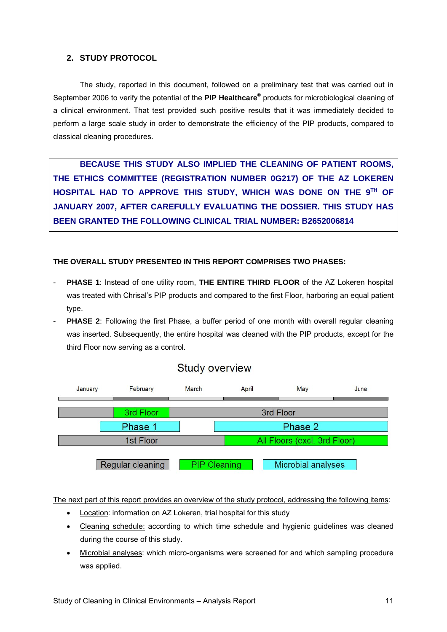#### **2. STUDY PROTOCOL**

 The study, reported in this document, followed on a preliminary test that was carried out in September 2006 to verify the potential of the **PIP Healthcare®** products for microbiological cleaning of a clinical environment. That test provided such positive results that it was immediately decided to perform a large scale study in order to demonstrate the efficiency of the PIP products, compared to classical cleaning procedures.

 **BECAUSE THIS STUDY ALSO IMPLIED THE CLEANING OF PATIENT ROOMS, THE ETHICS COMMITTEE (REGISTRATION NUMBER 0G217) OF THE AZ LOKEREN HOSPITAL HAD TO APPROVE THIS STUDY, WHICH WAS DONE ON THE 9TH OF JANUARY 2007, AFTER CAREFULLY EVALUATING THE DOSSIER. THIS STUDY HAS BEEN GRANTED THE FOLLOWING CLINICAL TRIAL NUMBER: B2652006814** 

#### **THE OVERALL STUDY PRESENTED IN THIS REPORT COMPRISES TWO PHASES:**

- **PHASE 1**: Instead of one utility room, **THE ENTIRE THIRD FLOOR** of the AZ Lokeren hospital was treated with Chrisal's PIP products and compared to the first Floor, harboring an equal patient type.
- **PHASE 2**: Following the first Phase, a buffer period of one month with overall regular cleaning was inserted. Subsequently, the entire hospital was cleaned with the PIP products, except for the third Floor now serving as a control.





The next part of this report provides an overview of the study protocol, addressing the following items:

- Location: information on AZ Lokeren, trial hospital for this study
- Cleaning schedule: according to which time schedule and hygienic guidelines was cleaned during the course of this study.
- Microbial analyses: which micro-organisms were screened for and which sampling procedure was applied.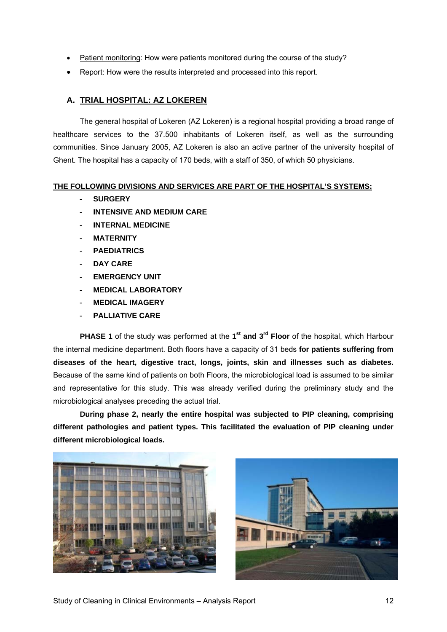- Patient monitoring: How were patients monitored during the course of the study?
- Report: How were the results interpreted and processed into this report.

#### **A. TRIAL HOSPITAL: AZ LOKEREN**

The general hospital of Lokeren (AZ Lokeren) is a regional hospital providing a broad range of healthcare services to the 37.500 inhabitants of Lokeren itself, as well as the surrounding communities. Since January 2005, AZ Lokeren is also an active partner of the university hospital of Ghent. The hospital has a capacity of 170 beds, with a staff of 350, of which 50 physicians.

#### **THE FOLLOWING DIVISIONS AND SERVICES ARE PART OF THE HOSPITAL'S SYSTEMS:**

- **SURGERY**
- **INTENSIVE AND MEDIUM CARE**
- **INTERNAL MEDICINE**
- **MATERNITY**
- **PAEDIATRICS**
- DAY CARE
- **EMERGENCY UNIT**
- **MEDICAL LABORATORY**
- **MEDICAL IMAGERY**
- **PALLIATIVE CARE**

**PHASE 1** of the study was performed at the 1<sup>st</sup> and 3<sup>rd</sup> Floor of the hospital, which Harbour the internal medicine department. Both floors have a capacity of 31 beds **for patients suffering from diseases of the heart, digestive tract, longs, joints, skin and illnesses such as diabetes.** Because of the same kind of patients on both Floors, the microbiological load is assumed to be similar and representative for this study. This was already verified during the preliminary study and the microbiological analyses preceding the actual trial.

 **During phase 2, nearly the entire hospital was subjected to PIP cleaning, comprising different pathologies and patient types. This facilitated the evaluation of PIP cleaning under different microbiological loads.** 



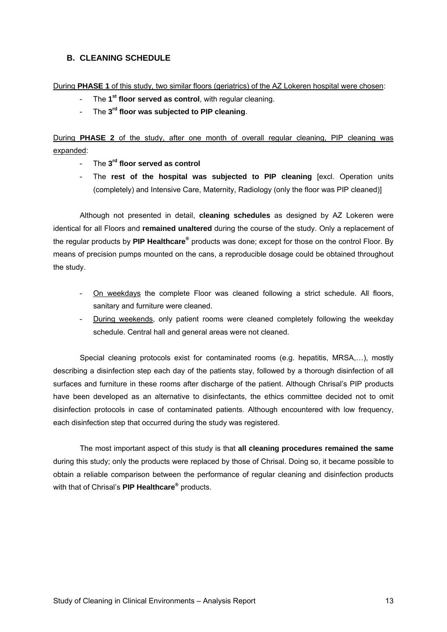### **B. CLEANING SCHEDULE**

#### During **PHASE 1** of this study, two similar floors (geriatrics) of the AZ Lokeren hospital were chosen:

- The 1<sup>st</sup> floor served as control, with regular cleaning.
- The **3rd floor was subjected to PIP cleaning**.

During **PHASE 2** of the study, after one month of overall regular cleaning, PIP cleaning was expanded:

- The **3rd floor served as control**
- The **rest of the hospital was subjected to PIP cleaning** [excl. Operation units (completely) and Intensive Care, Maternity, Radiology (only the floor was PIP cleaned)]

 Although not presented in detail, **cleaning schedules** as designed by AZ Lokeren were identical for all Floors and **remained unaltered** during the course of the study. Only a replacement of the regular products by PIP Healthcare® products was done; except for those on the control Floor. By means of precision pumps mounted on the cans, a reproducible dosage could be obtained throughout the study.

- On weekdays the complete Floor was cleaned following a strict schedule. All floors, sanitary and furniture were cleaned.
- During weekends, only patient rooms were cleaned completely following the weekday schedule. Central hall and general areas were not cleaned.

 Special cleaning protocols exist for contaminated rooms (e.g. hepatitis, MRSA,…), mostly describing a disinfection step each day of the patients stay, followed by a thorough disinfection of all surfaces and furniture in these rooms after discharge of the patient. Although Chrisal's PIP products have been developed as an alternative to disinfectants, the ethics committee decided not to omit disinfection protocols in case of contaminated patients. Although encountered with low frequency, each disinfection step that occurred during the study was registered.

 The most important aspect of this study is that **all cleaning procedures remained the same** during this study; only the products were replaced by those of Chrisal. Doing so, it became possible to obtain a reliable comparison between the performance of regular cleaning and disinfection products with that of Chrisal's **PIP Healthcare®** products.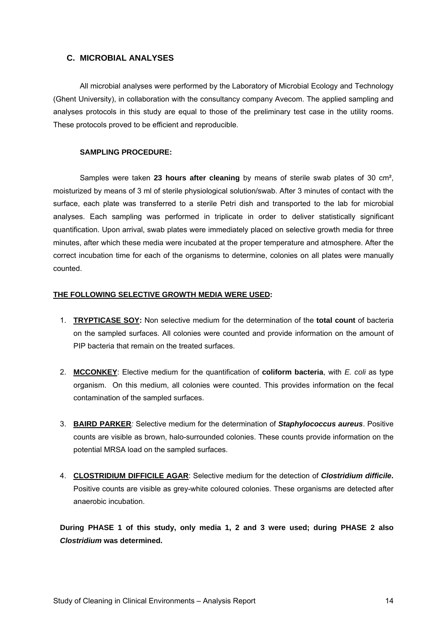#### **C. MICROBIAL ANALYSES**

 All microbial analyses were performed by the Laboratory of Microbial Ecology and Technology (Ghent University), in collaboration with the consultancy company Avecom. The applied sampling and analyses protocols in this study are equal to those of the preliminary test case in the utility rooms. These protocols proved to be efficient and reproducible.

#### **SAMPLING PROCEDURE:**

 Samples were taken **23 hours after cleaning** by means of sterile swab plates of 30 cm², moisturized by means of 3 ml of sterile physiological solution/swab. After 3 minutes of contact with the surface, each plate was transferred to a sterile Petri dish and transported to the lab for microbial analyses. Each sampling was performed in triplicate in order to deliver statistically significant quantification. Upon arrival, swab plates were immediately placed on selective growth media for three minutes, after which these media were incubated at the proper temperature and atmosphere. After the correct incubation time for each of the organisms to determine, colonies on all plates were manually counted.

#### **THE FOLLOWING SELECTIVE GROWTH MEDIA WERE USED:**

- 1. **TRYPTICASE SOY:** Non selective medium for the determination of the **total count** of bacteria on the sampled surfaces. All colonies were counted and provide information on the amount of PIP bacteria that remain on the treated surfaces.
- 2. **MCCONKEY**: Elective medium for the quantification of **coliform bacteria**, with *E. coli* as type organism. On this medium, all colonies were counted. This provides information on the fecal contamination of the sampled surfaces.
- 3. **BAIRD PARKER***:* Selective medium for the determination of *Staphylococcus aureus*. Positive counts are visible as brown, halo-surrounded colonies. These counts provide information on the potential MRSA load on the sampled surfaces.
- 4. **CLOSTRIDIUM DIFFICILE AGAR**: Selective medium for the detection of *Clostridium difficile***.** Positive counts are visible as grey-white coloured colonies. These organisms are detected after anaerobic incubation.

**During PHASE 1 of this study, only media 1, 2 and 3 were used; during PHASE 2 also**  *Clostridium* **was determined.**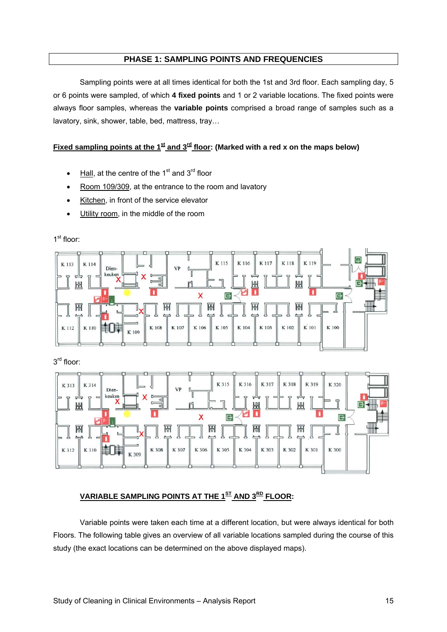#### **PHASE 1: SAMPLING POINTS AND FREQUENCIES**

Sampling points were at all times identical for both the 1st and 3rd floor. Each sampling day, 5 or 6 points were sampled, of which **4 fixed points** and 1 or 2 variable locations. The fixed points were always floor samples, whereas the **variable points** comprised a broad range of samples such as a lavatory, sink, shower, table, bed, mattress, tray…

#### Fixed sampling points at the  $1<sup>st</sup>$  and  $3<sup>rd</sup>$  floor: (Marked with a red x on the maps below)

- Hall, at the centre of the  $1<sup>st</sup>$  and  $3<sup>rd</sup>$  floor
- Room 109/309, at the entrance to the room and lavatory
- Kitchen, in front of the service elevator
- Utility room, in the middle of the room

#### K 115 K 116 K 117 K 118 K 119 K 113 K 114 Dien-VF keuker Ш 出 X G 日 圌 閇 問 J K 101 事件 K 107 K 106 K 105 K 104 K 103 K 102 K 100 K 112 K 110 K 108  $K$ 109

3<sup>rd</sup> floor:



### **VARIABLE SAMPLING POINTS AT THE 1ST AND 3RD FLOOR:**

 Variable points were taken each time at a different location, but were always identical for both Floors. The following table gives an overview of all variable locations sampled during the course of this study (the exact locations can be determined on the above displayed maps).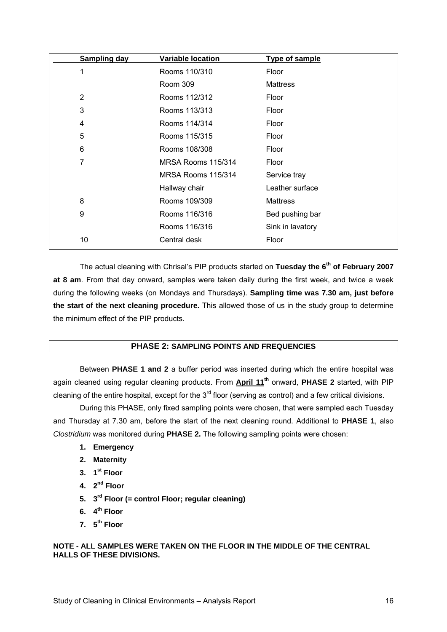| <b>Sampling day</b> | <b>Variable location</b> | Type of sample   |
|---------------------|--------------------------|------------------|
| 1                   | Rooms 110/310            | Floor            |
|                     | <b>Room 309</b>          | <b>Mattress</b>  |
| $\overline{2}$      | Rooms 112/312            | Floor            |
| 3                   | Rooms 113/313            | Floor            |
| 4                   | Rooms 114/314            | Floor            |
| 5                   | Rooms 115/315            | Floor            |
| 6                   | Rooms 108/308            | Floor            |
| 7                   | MRSA Rooms 115/314       | Floor            |
|                     | MRSA Rooms 115/314       | Service tray     |
|                     | Hallway chair            | Leather surface  |
| 8                   | Rooms 109/309            | <b>Mattress</b>  |
| 9                   | Rooms 116/316            | Bed pushing bar  |
|                     | Rooms 116/316            | Sink in lavatory |
| 10                  | Central desk             | Floor            |

 The actual cleaning with Chrisal's PIP products started on **Tuesday the 6th of February 2007 at 8 am**. From that day onward, samples were taken daily during the first week, and twice a week during the following weeks (on Mondays and Thursdays). **Sampling time was 7.30 am, just before the start of the next cleaning procedure.** This allowed those of us in the study group to determine the minimum effect of the PIP products.

#### **PHASE 2: SAMPLING POINTS AND FREQUENCIES**

 Between **PHASE 1 and 2** a buffer period was inserted during which the entire hospital was again cleaned using regular cleaning products. From **April 11th** onward, **PHASE 2** started, with PIP cleaning of the entire hospital, except for the  $3<sup>rd</sup>$  floor (serving as control) and a few critical divisions.

 During this PHASE, only fixed sampling points were chosen, that were sampled each Tuesday and Thursday at 7.30 am, before the start of the next cleaning round. Additional to **PHASE 1**, also *Clostridium* was monitored during **PHASE 2.** The following sampling points were chosen:

- **1. Emergency**
- **2. Maternity**
- **3. 1st Floor**
- **4. 2nd Floor**
- **5. 3rd Floor (= control Floor; regular cleaning)**
- **6. 4th Floor**
- **7. 5th Floor**

#### **NOTE - ALL SAMPLES WERE TAKEN ON THE FLOOR IN THE MIDDLE OF THE CENTRAL HALLS OF THESE DIVISIONS.**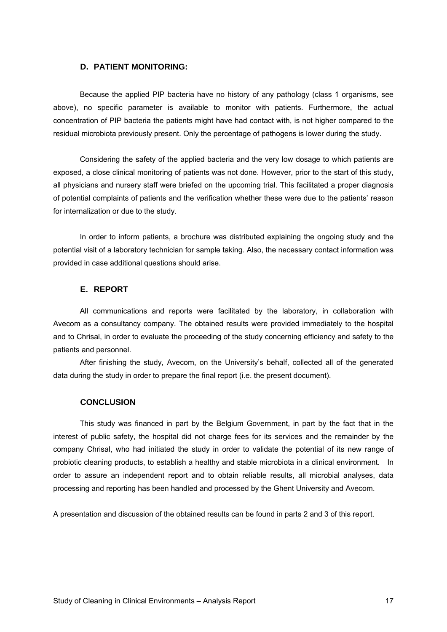#### **D. PATIENT MONITORING:**

Because the applied PIP bacteria have no history of any pathology (class 1 organisms, see above), no specific parameter is available to monitor with patients. Furthermore, the actual concentration of PIP bacteria the patients might have had contact with, is not higher compared to the residual microbiota previously present. Only the percentage of pathogens is lower during the study.

Considering the safety of the applied bacteria and the very low dosage to which patients are exposed, a close clinical monitoring of patients was not done. However, prior to the start of this study, all physicians and nursery staff were briefed on the upcoming trial. This facilitated a proper diagnosis of potential complaints of patients and the verification whether these were due to the patients' reason for internalization or due to the study.

In order to inform patients, a brochure was distributed explaining the ongoing study and the potential visit of a laboratory technician for sample taking. Also, the necessary contact information was provided in case additional questions should arise.

#### **E. REPORT**

 All communications and reports were facilitated by the laboratory, in collaboration with Avecom as a consultancy company. The obtained results were provided immediately to the hospital and to Chrisal, in order to evaluate the proceeding of the study concerning efficiency and safety to the patients and personnel.

 After finishing the study, Avecom, on the University's behalf, collected all of the generated data during the study in order to prepare the final report (i.e. the present document).

#### **CONCLUSION**

 This study was financed in part by the Belgium Government, in part by the fact that in the interest of public safety, the hospital did not charge fees for its services and the remainder by the company Chrisal, who had initiated the study in order to validate the potential of its new range of probiotic cleaning products, to establish a healthy and stable microbiota in a clinical environment. In order to assure an independent report and to obtain reliable results, all microbial analyses, data processing and reporting has been handled and processed by the Ghent University and Avecom.

A presentation and discussion of the obtained results can be found in parts 2 and 3 of this report.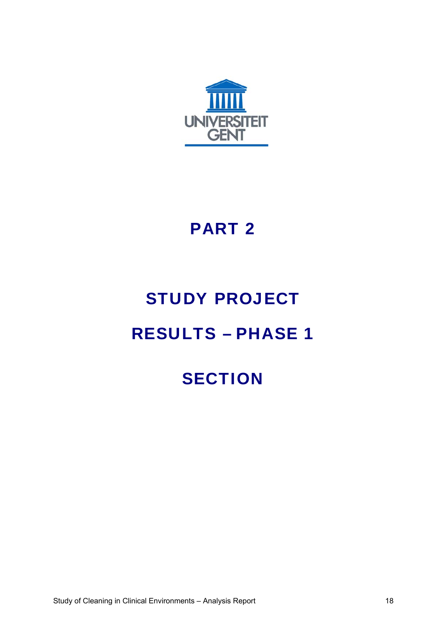

### PART 2

## STUDY PROJECT

### RESULTS – PHASE 1

### **SECTION**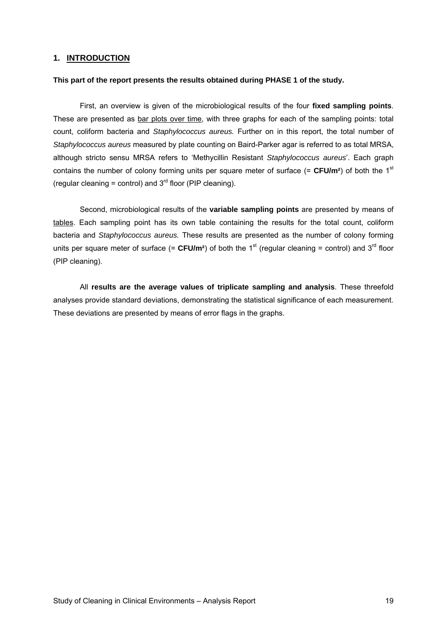#### **1. INTRODUCTION**

#### **This part of the report presents the results obtained during PHASE 1 of the study.**

 First, an overview is given of the microbiological results of the four **fixed sampling points**. These are presented as bar plots over time, with three graphs for each of the sampling points: total count, coliform bacteria and *Staphylococcus aureus.* Further on in this report, the total number of *Staphylococcus aureus* measured by plate counting on Baird-Parker agar is referred to as total MRSA, although stricto sensu MRSA refers to 'Methycillin Resistant *Staphylococcus aureus*'. Each graph contains the number of colony forming units per square meter of surface  $(= CFU/m<sup>2</sup>)$  of both the 1<sup>st</sup> (regular cleaning = control) and  $3<sup>rd</sup>$  floor (PIP cleaning).

Second, microbiological results of the **variable sampling points** are presented by means of tables. Each sampling point has its own table containing the results for the total count, coliform bacteria and *Staphylococcus aureus.* These results are presented as the number of colony forming units per square meter of surface  $(= CFU/m^2)$  of both the 1<sup>st</sup> (regular cleaning = control) and 3<sup>rd</sup> floor (PIP cleaning).

 All **results are the average values of triplicate sampling and analysis**. These threefold analyses provide standard deviations, demonstrating the statistical significance of each measurement. These deviations are presented by means of error flags in the graphs.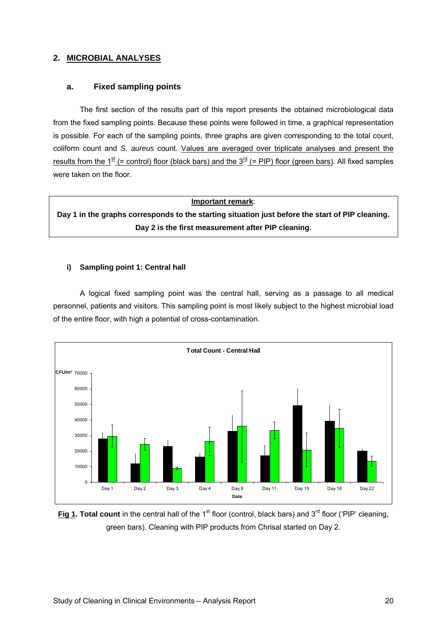#### **2. MICROBIAL ANALYSES**

#### **a. Fixed sampling points**

The first section of the results part of this report presents the obtained microbiological data from the fixed sampling points. Because these points were followed in time, a graphical representation is possible. For each of the sampling points, three graphs are given corresponding to the total count, coliform count and *S. aureus* count. Values are averaged over triplicate analyses and present the results from the  $1^{st}$  (= control) floor (black bars) and the  $3^{rd}$  (= PIP) floor (green bars). All fixed samples were taken on the floor.

#### **Important remark**:

**Day 1 in the graphs corresponds to the starting situation just before the start of PIP cleaning. Day 2 is the first measurement after PIP cleaning.** 

#### **i) Sampling point 1: Central hall**

 A logical fixed sampling point was the central hall, serving as a passage to all medical personnel, patients and visitors. This sampling point is most likely subject to the highest microbial load of the entire floor, with high a potential of cross-contamination.



**Fig 1. Total count** in the central hall of the 1<sup>st</sup> floor (control, black bars) and 3<sup>rd</sup> floor ('PIP' cleaning, green bars). Cleaning with PIP products from Chrisal started on Day 2.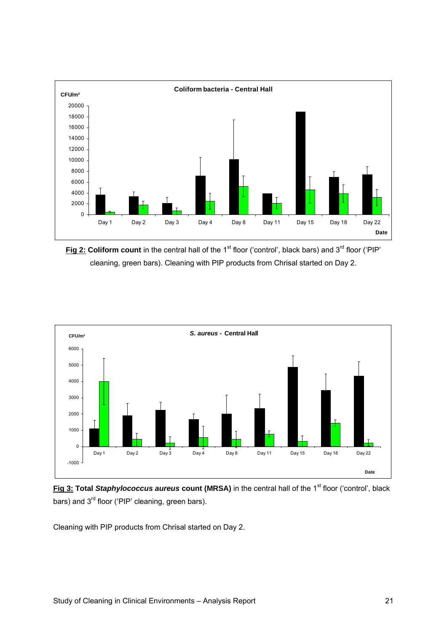

**Fig 2: Coliform count** in the central hall of the 1<sup>st</sup> floor ('control', black bars) and 3<sup>rd</sup> floor ('PIP' cleaning, green bars). Cleaning with PIP products from Chrisal started on Day 2.



**Fig 3: Total Staphylococcus aureus count (MRSA)** in the central hall of the 1<sup>st</sup> floor ('control', black bars) and 3<sup>rd</sup> floor ('PIP' cleaning, green bars).

Cleaning with PIP products from Chrisal started on Day 2.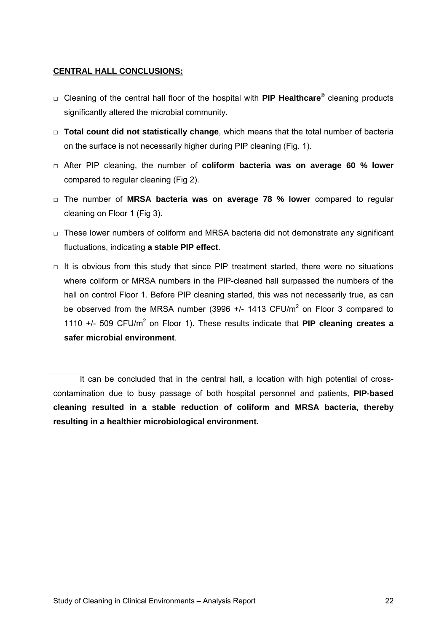#### **CENTRAL HALL CONCLUSIONS:**

- □ Cleaning of the central hall floor of the hospital with **PIP Healthcare®** cleaning products significantly altered the microbial community.
- □ **Total count did not statistically change**, which means that the total number of bacteria on the surface is not necessarily higher during PIP cleaning (Fig. 1).
- □ After PIP cleaning, the number of **coliform bacteria was on average 60 % lower** compared to regular cleaning (Fig 2).
- □ The number of **MRSA bacteria was on average 78 % lower** compared to regular cleaning on Floor 1 (Fig 3).
- □ These lower numbers of coliform and MRSA bacteria did not demonstrate any significant fluctuations, indicating **a stable PIP effect**.
- $\Box$  It is obvious from this study that since PIP treatment started, there were no situations where coliform or MRSA numbers in the PIP-cleaned hall surpassed the numbers of the hall on control Floor 1. Before PIP cleaning started, this was not necessarily true, as can be observed from the MRSA number (3996  $+/-$  1413 CFU/m<sup>2</sup> on Floor 3 compared to 1110 +/- 509 CFU/m<sup>2</sup> on Floor 1). These results indicate that PIP cleaning creates a **safer microbial environment**.

It can be concluded that in the central hall, a location with high potential of crosscontamination due to busy passage of both hospital personnel and patients, **PIP-based cleaning resulted in a stable reduction of coliform and MRSA bacteria, thereby resulting in a healthier microbiological environment.**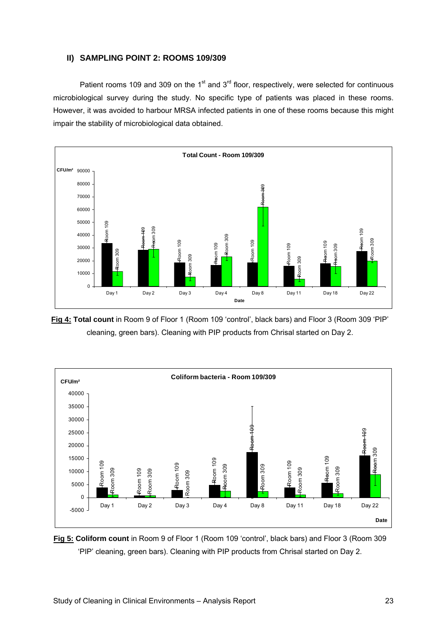#### **II) SAMPLING POINT 2: ROOMS 109/309**

Patient rooms 109 and 309 on the  $1<sup>st</sup>$  and  $3<sup>rd</sup>$  floor, respectively, were selected for continuous microbiological survey during the study. No specific type of patients was placed in these rooms. However, it was avoided to harbour MRSA infected patients in one of these rooms because this might impair the stability of microbiological data obtained.



**Fig 4: Total count** in Room 9 of Floor 1 (Room 109 'control', black bars) and Floor 3 (Room 309 'PIP' cleaning, green bars). Cleaning with PIP products from Chrisal started on Day 2.



**Fig 5: Coliform count** in Room 9 of Floor 1 (Room 109 'control', black bars) and Floor 3 (Room 309 'PIP' cleaning, green bars). Cleaning with PIP products from Chrisal started on Day 2.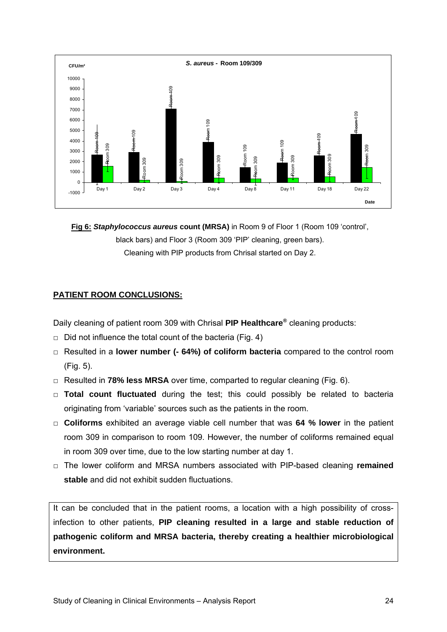

**Fig 6:** *Staphylococcus aureus* **count (MRSA)** in Room 9 of Floor 1 (Room 109 'control', black bars) and Floor 3 (Room 309 'PIP' cleaning, green bars). Cleaning with PIP products from Chrisal started on Day 2.

### **PATIENT ROOM CONCLUSIONS:**

Daily cleaning of patient room 309 with Chrisal **PIP Healthcare®** cleaning products:

- $\Box$  Did not influence the total count of the bacteria (Fig. 4)
- □ Resulted in a **lower number (- 64%) of coliform bacteria** compared to the control room (Fig. 5).
- □ Resulted in **78% less MRSA** over time, comparted to regular cleaning (Fig. 6).
- □ **Total count fluctuated** during the test; this could possibly be related to bacteria originating from 'variable' sources such as the patients in the room.
- □ **Coliforms** exhibited an average viable cell number that was **64 % lower** in the patient room 309 in comparison to room 109. However, the number of coliforms remained equal in room 309 over time, due to the low starting number at day 1.
- □ The lower coliform and MRSA numbers associated with PIP-based cleaning **remained stable** and did not exhibit sudden fluctuations.

It can be concluded that in the patient rooms, a location with a high possibility of crossinfection to other patients, **PIP cleaning resulted in a large and stable reduction of pathogenic coliform and MRSA bacteria, thereby creating a healthier microbiological environment.**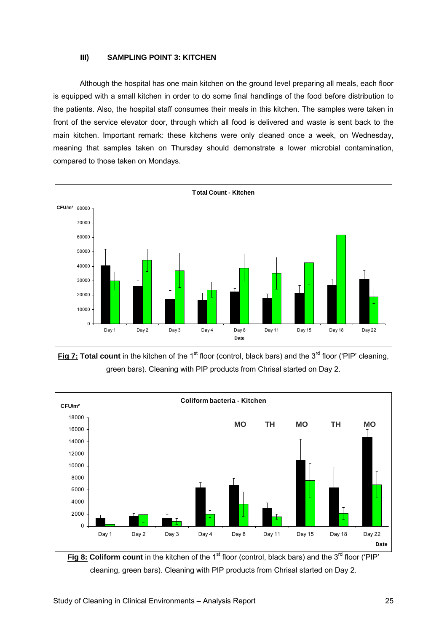#### **III) SAMPLING POINT 3: KITCHEN**

Although the hospital has one main kitchen on the ground level preparing all meals, each floor is equipped with a small kitchen in order to do some final handlings of the food before distribution to the patients. Also, the hospital staff consumes their meals in this kitchen. The samples were taken in front of the service elevator door, through which all food is delivered and waste is sent back to the main kitchen. Important remark: these kitchens were only cleaned once a week, on Wednesday, meaning that samples taken on Thursday should demonstrate a lower microbial contamination, compared to those taken on Mondays.



**Fig 7: Total count** in the kitchen of the 1<sup>st</sup> floor (control, black bars) and the 3<sup>rd</sup> floor ('PIP' cleaning, green bars). Cleaning with PIP products from Chrisal started on Day 2.



**Fig 8: Coliform count** in the kitchen of the 1<sup>st</sup> floor (control, black bars) and the 3<sup>rd</sup> floor ('PIP' cleaning, green bars). Cleaning with PIP products from Chrisal started on Day 2.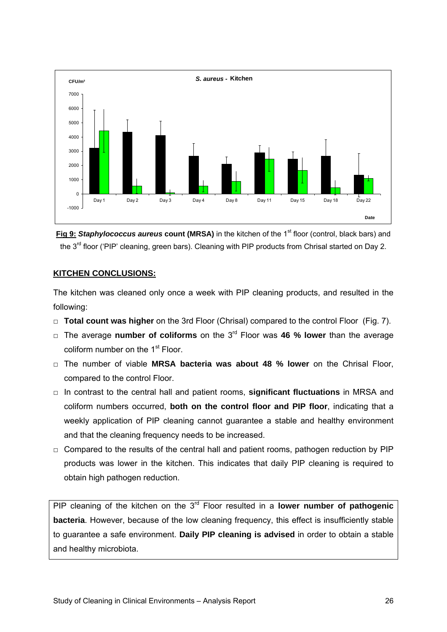

**Fig 9: Staphylococcus aureus count (MRSA)** in the kitchen of the 1<sup>st</sup> floor (control, black bars) and the 3<sup>rd</sup> floor ('PIP' cleaning, green bars). Cleaning with PIP products from Chrisal started on Day 2.

#### **KITCHEN CONCLUSIONS:**

The kitchen was cleaned only once a week with PIP cleaning products, and resulted in the following:

- □ **Total count was higher** on the 3rd Floor (Chrisal) compared to the control Floor (Fig. 7).
- □ The average **number of coliforms** on the 3rd Floor was **46 % lower** than the average coliform number on the 1<sup>st</sup> Floor.
- □ The number of viable **MRSA bacteria was about 48 % lower** on the Chrisal Floor, compared to the control Floor.
- □ In contrast to the central hall and patient rooms, **significant fluctuations** in MRSA and coliform numbers occurred, **both on the control floor and PIP floor**, indicating that a weekly application of PIP cleaning cannot guarantee a stable and healthy environment and that the cleaning frequency needs to be increased.
- $\Box$  Compared to the results of the central hall and patient rooms, pathogen reduction by PIP products was lower in the kitchen. This indicates that daily PIP cleaning is required to obtain high pathogen reduction.

PIP cleaning of the kitchen on the 3<sup>rd</sup> Floor resulted in a **lower number of pathogenic bacteria**. However, because of the low cleaning frequency, this effect is insufficiently stable to guarantee a safe environment. **Daily PIP cleaning is advised** in order to obtain a stable and healthy microbiota.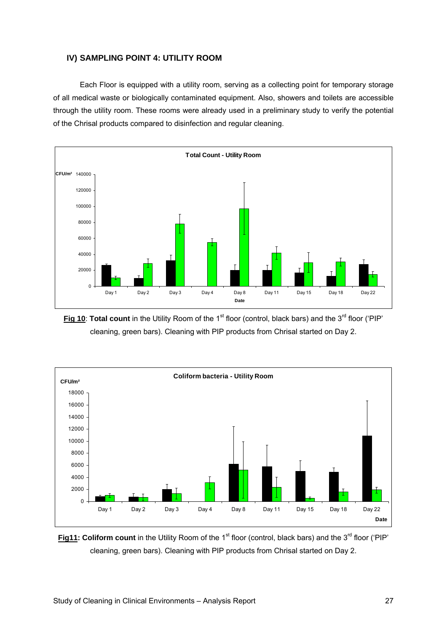#### **IV) SAMPLING POINT 4: UTILITY ROOM**

 Each Floor is equipped with a utility room, serving as a collecting point for temporary storage of all medical waste or biologically contaminated equipment. Also, showers and toilets are accessible through the utility room. These rooms were already used in a preliminary study to verify the potential of the Chrisal products compared to disinfection and regular cleaning.



**Fig 10: Total count** in the Utility Room of the 1<sup>st</sup> floor (control, black bars) and the 3<sup>rd</sup> floor ('PIP' cleaning, green bars). Cleaning with PIP products from Chrisal started on Day 2.



**Fig11: Coliform count** in the Utility Room of the 1<sup>st</sup> floor (control, black bars) and the 3<sup>rd</sup> floor ('PIP' cleaning, green bars). Cleaning with PIP products from Chrisal started on Day 2.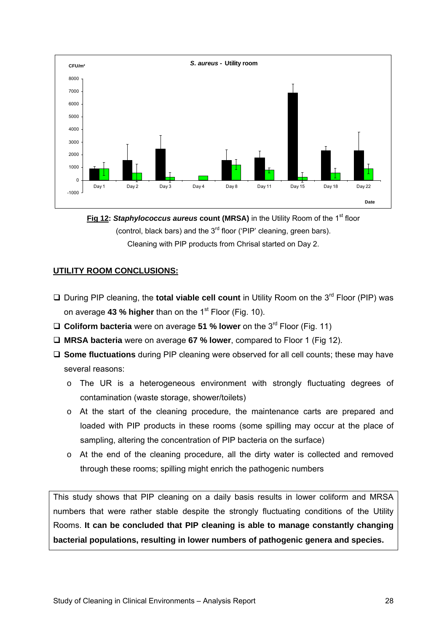

**Fig 12: Staphylococcus aureus count (MRSA) in the Utility Room of the 1<sup>st</sup> floor** (control, black bars) and the  $3<sup>rd</sup>$  floor ('PIP' cleaning, green bars). Cleaning with PIP products from Chrisal started on Day 2.

#### **UTILITY ROOM CONCLUSIONS:**

- □ During PIP cleaning, the **total viable cell count** in Utility Room on the 3<sup>rd</sup> Floor (PIP) was on average **43 % higher** than on the 1<sup>st</sup> Floor (Fig. 10).
- □ Coliform bacteria were on average 51 % lower on the 3<sup>rd</sup> Floor (Fig. 11)
- **MRSA bacteria** were on average **67 % lower**, compared to Floor 1 (Fig 12).
- **Some fluctuations** during PIP cleaning were observed for all cell counts; these may have several reasons:
	- o The UR is a heterogeneous environment with strongly fluctuating degrees of contamination (waste storage, shower/toilets)
	- o At the start of the cleaning procedure, the maintenance carts are prepared and loaded with PIP products in these rooms (some spilling may occur at the place of sampling, altering the concentration of PIP bacteria on the surface)
	- o At the end of the cleaning procedure, all the dirty water is collected and removed through these rooms; spilling might enrich the pathogenic numbers

This study shows that PIP cleaning on a daily basis results in lower coliform and MRSA numbers that were rather stable despite the strongly fluctuating conditions of the Utility Rooms. **It can be concluded that PIP cleaning is able to manage constantly changing bacterial populations, resulting in lower numbers of pathogenic genera and species.**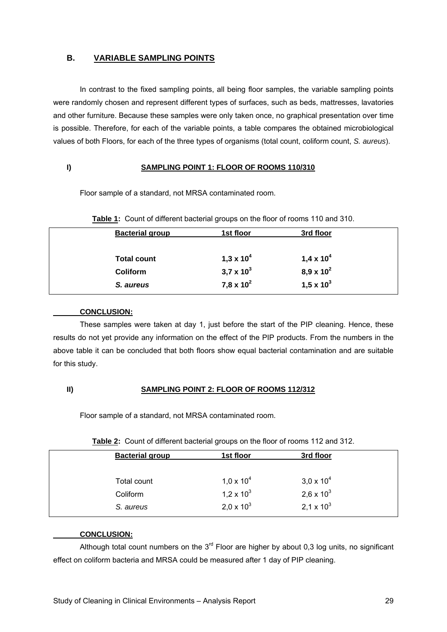#### **B. VARIABLE SAMPLING POINTS**

In contrast to the fixed sampling points, all being floor samples, the variable sampling points were randomly chosen and represent different types of surfaces, such as beds, mattresses, lavatories and other furniture. Because these samples were only taken once, no graphical presentation over time is possible. Therefore, for each of the variable points, a table compares the obtained microbiological values of both Floors, for each of the three types of organisms (total count, coliform count, *S. aureus*).

#### **I) SAMPLING POINT 1: FLOOR OF ROOMS 110/310**

Floor sample of a standard, not MRSA contaminated room.

| <b>Bacterial group</b> | 1st floor             | 3rd floor             |  |
|------------------------|-----------------------|-----------------------|--|
| <b>Total count</b>     | 1,3 x 10 <sup>4</sup> | 1,4 x 10 <sup>4</sup> |  |
| <b>Coliform</b>        | $3,7 \times 10^{3}$   | $8,9 \times 10^{2}$   |  |
| S. aureus              | 7,8 x $10^2$          | $1,5 \times 10^{3}$   |  |

**Table 1:** Count of different bacterial groups on the floor of rooms 110 and 310.

#### **CONCLUSION:**

These samples were taken at day 1, just before the start of the PIP cleaning. Hence, these results do not yet provide any information on the effect of the PIP products. From the numbers in the above table it can be concluded that both floors show equal bacterial contamination and are suitable for this study.

#### **II) SAMPLING POINT 2: FLOOR OF ROOMS 112/312**

Floor sample of a standard, not MRSA contaminated room.

| <b>Bacterial group</b> | 1st floor           | 3rd floor           |
|------------------------|---------------------|---------------------|
| Total count            | $1,0 \times 10^{4}$ | $3.0 \times 10^{4}$ |
| Coliform               | 1,2 x $10^3$        | 2,6 x $10^3$        |
| S. aureus              | $2,0 \times 10^{3}$ | 2,1 x $10^3$        |

**Table 2:** Count of different bacterial groups on the floor of rooms 112 and 312.

#### **CONCLUSION:**

Although total count numbers on the  $3<sup>rd</sup>$  Floor are higher by about 0,3 log units, no significant effect on coliform bacteria and MRSA could be measured after 1 day of PIP cleaning.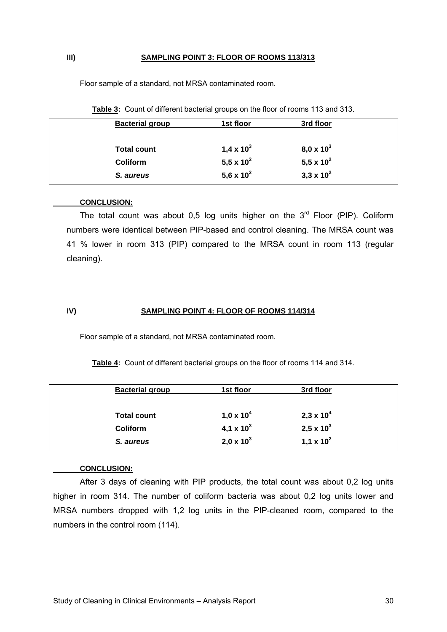#### **III) SAMPLING POINT 3: FLOOR OF ROOMS 113/313**

Floor sample of a standard, not MRSA contaminated room.

| <b>Bacterial group</b> | 1st floor    | 3rd floor           |  |
|------------------------|--------------|---------------------|--|
| <b>Total count</b>     | 1,4 x $10^3$ | $8,0 \times 10^{3}$ |  |
| <b>Coliform</b>        | 5,5 x $10^2$ | 5,5 x $10^2$        |  |
| S. aureus              | 5,6 x $10^2$ | $3,3 \times 10^{2}$ |  |

| Table 3: Count of different bacterial groups on the floor of rooms 113 and 313. |  |  |
|---------------------------------------------------------------------------------|--|--|
|                                                                                 |  |  |

#### **CONCLUSION:**

The total count was about 0,5 log units higher on the  $3<sup>rd</sup>$  Floor (PIP). Coliform numbers were identical between PIP-based and control cleaning. The MRSA count was 41 % lower in room 313 (PIP) compared to the MRSA count in room 113 (regular cleaning).

#### **IV) SAMPLING POINT 4: FLOOR OF ROOMS 114/314**

Floor sample of a standard, not MRSA contaminated room.

|  | Table 4: Count of different bacterial groups on the floor of rooms 114 and 314. |  |
|--|---------------------------------------------------------------------------------|--|
|--|---------------------------------------------------------------------------------|--|

| <b>Bacterial group</b> | 1st floor             | 3rd floor           |  |
|------------------------|-----------------------|---------------------|--|
| <b>Total count</b>     | 1,0 x 10 <sup>4</sup> | $2,3 \times 10^{4}$ |  |
| <b>Coliform</b>        | 4,1 x $10^3$          | $2,5 \times 10^{3}$ |  |
| S. aureus              | $2,0 \times 10^{3}$   | 1,1 x $10^2$        |  |

#### **CONCLUSION:**

After 3 days of cleaning with PIP products, the total count was about 0,2 log units higher in room 314. The number of coliform bacteria was about 0,2 log units lower and MRSA numbers dropped with 1,2 log units in the PIP-cleaned room, compared to the numbers in the control room (114).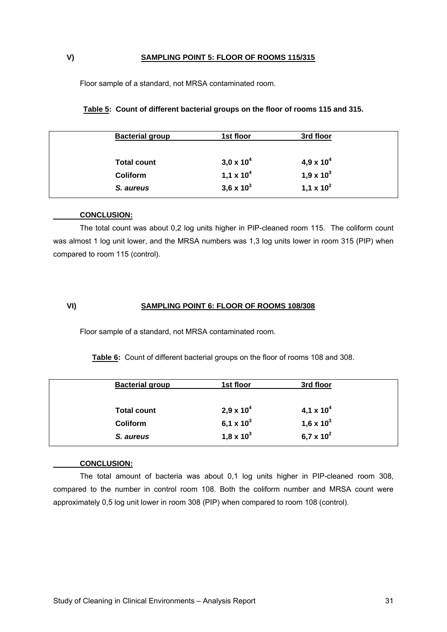#### **V) SAMPLING POINT 5: FLOOR OF ROOMS 115/315**

Floor sample of a standard, not MRSA contaminated room.

| <b>Bacterial group</b> | 1st floor           | 3rd floor             |
|------------------------|---------------------|-----------------------|
| <b>Total count</b>     | $3,0 \times 10^{4}$ | 4,9 x 10 <sup>4</sup> |
| Coliform               | 1,1 x $10^4$        | 1,9 x $10^3$          |
| S. aureus              | 3,6 x $10^3$        | 1,1 x $10^2$          |

#### **Table 5: Count of different bacterial groups on the floor of rooms 115 and 315.**

#### **CONCLUSION:**

The total count was about 0,2 log units higher in PIP-cleaned room 115. The coliform count was almost 1 log unit lower, and the MRSA numbers was 1,3 log units lower in room 315 (PIP) when compared to room 115 (control).

#### **VI) SAMPLING POINT 6: FLOOR OF ROOMS 108/308**

Floor sample of a standard, not MRSA contaminated room.

**Table 6:** Count of different bacterial groups on the floor of rooms 108 and 308.

| <b>Bacterial group</b> | 1st floor           | 3rd floor             |
|------------------------|---------------------|-----------------------|
| <b>Total count</b>     | $2,9 \times 10^{4}$ | 4,1 x 10 <sup>4</sup> |
| <b>Coliform</b>        | 6,1 x $10^3$        | 1,6 x $10^3$          |
| S. aureus              | $1,8 \times 10^{3}$ | 6,7 x $10^2$          |
|                        |                     |                       |

#### **CONCLUSION:**

The total amount of bacteria was about 0,1 log units higher in PIP-cleaned room 308, compared to the number in control room 108. Both the coliform number and MRSA count were approximately 0,5 log unit lower in room 308 (PIP) when compared to room 108 (control).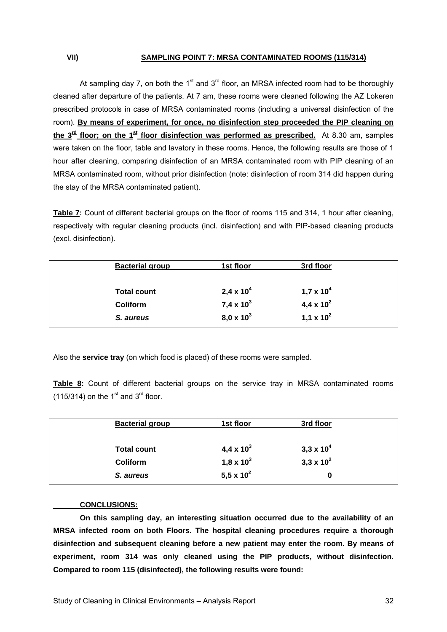#### **VII) SAMPLING POINT 7: MRSA CONTAMINATED ROOMS (115/314)**

At sampling day 7, on both the 1<sup>st</sup> and 3<sup>rd</sup> floor, an MRSA infected room had to be thoroughly cleaned after departure of the patients. At 7 am, these rooms were cleaned following the AZ Lokeren prescribed protocols in case of MRSA contaminated rooms (including a universal disinfection of the room). **By means of experiment, for once, no disinfection step proceeded the PIP cleaning on**  the  $3^{\text{rd}}$  floor; on the 1<sup>st</sup> floor disinfection was performed as prescribed. At 8.30 am, samples were taken on the floor, table and lavatory in these rooms. Hence, the following results are those of 1 hour after cleaning, comparing disinfection of an MRSA contaminated room with PIP cleaning of an MRSA contaminated room, without prior disinfection (note: disinfection of room 314 did happen during the stay of the MRSA contaminated patient).

**Table 7:** Count of different bacterial groups on the floor of rooms 115 and 314, 1 hour after cleaning, respectively with regular cleaning products (incl. disinfection) and with PIP-based cleaning products (excl. disinfection).

| <b>Bacterial group</b> | 1st floor             | 3rd floor           |  |
|------------------------|-----------------------|---------------------|--|
| <b>Total count</b>     | 2,4 x 10 <sup>4</sup> | $1,7 \times 10^{4}$ |  |
| <b>Coliform</b>        | $7,4 \times 10^{3}$   | 4,4 x $10^2$        |  |
| S. aureus              | $8,0 \times 10^{3}$   | 1,1 x $10^2$        |  |

Also the **service tray** (on which food is placed) of these rooms were sampled.

**Table 8:** Count of different bacterial groups on the service tray in MRSA contaminated rooms (115/314) on the  $1<sup>st</sup>$  and  $3<sup>rd</sup>$  floor.

| <b>Bacterial group</b> | 1st floor    | 3rd floor           |  |
|------------------------|--------------|---------------------|--|
| <b>Total count</b>     | 4,4 x $10^3$ | $3,3 \times 10^{4}$ |  |
| <b>Coliform</b>        | 1,8 x $10^3$ | $3,3 \times 10^{2}$ |  |
| S. aureus              | 5,5 x $10^2$ | 0                   |  |

#### **CONCLUSIONS:**

 **On this sampling day, an interesting situation occurred due to the availability of an MRSA infected room on both Floors. The hospital cleaning procedures require a thorough disinfection and subsequent cleaning before a new patient may enter the room. By means of experiment, room 314 was only cleaned using the PIP products, without disinfection. Compared to room 115 (disinfected), the following results were found:**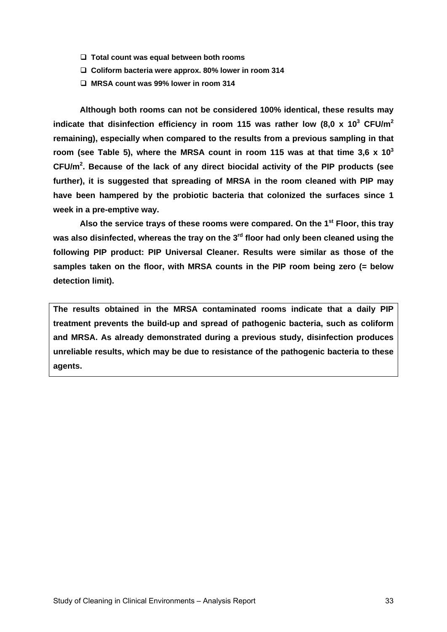- **Total count was equal between both rooms**
- **Coliform bacteria were approx. 80% lower in room 314**
- **MRSA count was 99% lower in room 314**

 **Although both rooms can not be considered 100% identical, these results may**  indicate that disinfection efficiency in room 115 was rather low (8,0 x 10<sup>3</sup> CFU/m<sup>2</sup> **remaining), especially when compared to the results from a previous sampling in that room (see Table 5), where the MRSA count in room 115 was at that time 3,6 x 103 CFU/m<sup>2</sup> . Because of the lack of any direct biocidal activity of the PIP products (see further), it is suggested that spreading of MRSA in the room cleaned with PIP may have been hampered by the probiotic bacteria that colonized the surfaces since 1 week in a pre-emptive way.** 

 **Also the service trays of these rooms were compared. On the 1st Floor, this tray**  was also disinfected, whereas the tray on the 3<sup>rd</sup> floor had only been cleaned using the **following PIP product: PIP Universal Cleaner. Results were similar as those of the samples taken on the floor, with MRSA counts in the PIP room being zero (= below detection limit).** 

**The results obtained in the MRSA contaminated rooms indicate that a daily PIP treatment prevents the build-up and spread of pathogenic bacteria, such as coliform and MRSA. As already demonstrated during a previous study, disinfection produces unreliable results, which may be due to resistance of the pathogenic bacteria to these agents.**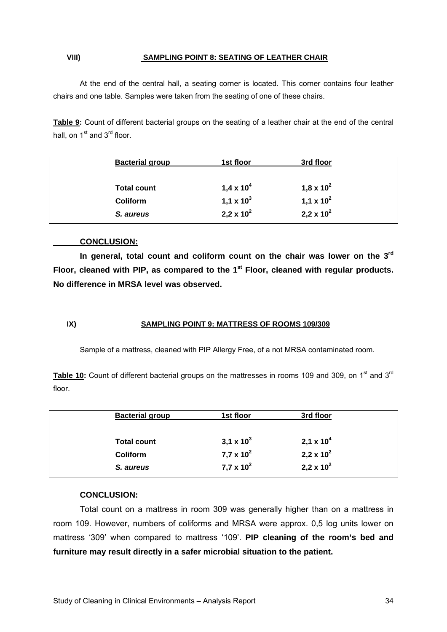#### **VIII) SAMPLING POINT 8: SEATING OF LEATHER CHAIR**

 At the end of the central hall, a seating corner is located. This corner contains four leather chairs and one table. Samples were taken from the seating of one of these chairs.

**Table 9:** Count of different bacterial groups on the seating of a leather chair at the end of the central hall, on  $1<sup>st</sup>$  and  $3<sup>rd</sup>$  floor.

| <b>Bacterial group</b> | 1st floor             | 3rd floor             |  |
|------------------------|-----------------------|-----------------------|--|
| <b>Total count</b>     | 1,4 x 10 <sup>4</sup> | 1,8 x 10 <sup>2</sup> |  |
| <b>Coliform</b>        | 1,1 x $10^3$          | 1,1 x $10^2$          |  |
| S. aureus              | $2,2 \times 10^2$     | 2,2 x $10^2$          |  |

#### **CONCLUSION:**

 **In general, total count and coliform count on the chair was lower on the 3rd Floor, cleaned with PIP, as compared to the 1st Floor, cleaned with regular products. No difference in MRSA level was observed.** 

#### **IX) SAMPLING POINT 9: MATTRESS OF ROOMS 109/309**

Sample of a mattress, cleaned with PIP Allergy Free, of a not MRSA contaminated room.

Table 10: Count of different bacterial groups on the mattresses in rooms 109 and 309, on 1<sup>st</sup> and 3<sup>rd</sup> floor.

| 3,1 x $10^3$        | 2,1 x 10 <sup>4</sup> |
|---------------------|-----------------------|
| $7.7 \times 10^{2}$ | 2,2 x $10^2$          |
| $7.7 \times 10^{2}$ | 2,2 x $10^2$          |
|                     |                       |

#### **CONCLUSION:**

Total count on a mattress in room 309 was generally higher than on a mattress in room 109. However, numbers of coliforms and MRSA were approx. 0,5 log units lower on mattress '309' when compared to mattress '109'. **PIP cleaning of the room's bed and furniture may result directly in a safer microbial situation to the patient.**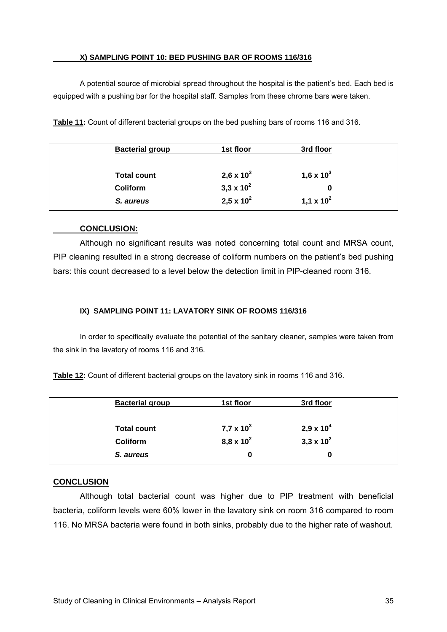#### **X) SAMPLING POINT 10: BED PUSHING BAR OF ROOMS 116/316**

 A potential source of microbial spread throughout the hospital is the patient's bed. Each bed is equipped with a pushing bar for the hospital staff. Samples from these chrome bars were taken.

| <b>Bacterial group</b> | 1st floor           | 3rd floor    |
|------------------------|---------------------|--------------|
| <b>Total count</b>     | 2,6 x $10^3$        | 1,6 x $10^3$ |
| <b>Coliform</b>        | $3,3 \times 10^{2}$ | 0            |
| S. aureus              | $2,5 \times 10^{2}$ | 1,1 x $10^2$ |

**Table 11:** Count of different bacterial groups on the bed pushing bars of rooms 116 and 316.

#### **CONCLUSION:**

Although no significant results was noted concerning total count and MRSA count, PIP cleaning resulted in a strong decrease of coliform numbers on the patient's bed pushing bars: this count decreased to a level below the detection limit in PIP-cleaned room 316.

#### **IX) SAMPLING POINT 11: LAVATORY SINK OF ROOMS 116/316**

 In order to specifically evaluate the potential of the sanitary cleaner, samples were taken from the sink in the lavatory of rooms 116 and 316.

**Table 12:** Count of different bacterial groups on the lavatory sink in rooms 116 and 316.

| <b>Bacterial group</b> | 1st floor           | 3rd floor           |  |
|------------------------|---------------------|---------------------|--|
| <b>Total count</b>     | 7,7 x $10^3$        | $2,9 \times 10^{4}$ |  |
| <b>Coliform</b>        | $8,8 \times 10^{2}$ | $3,3 \times 10^{2}$ |  |
| S. aureus              | 0                   | 0                   |  |

#### **CONCLUSION**

Although total bacterial count was higher due to PIP treatment with beneficial bacteria, coliform levels were 60% lower in the lavatory sink on room 316 compared to room 116. No MRSA bacteria were found in both sinks, probably due to the higher rate of washout.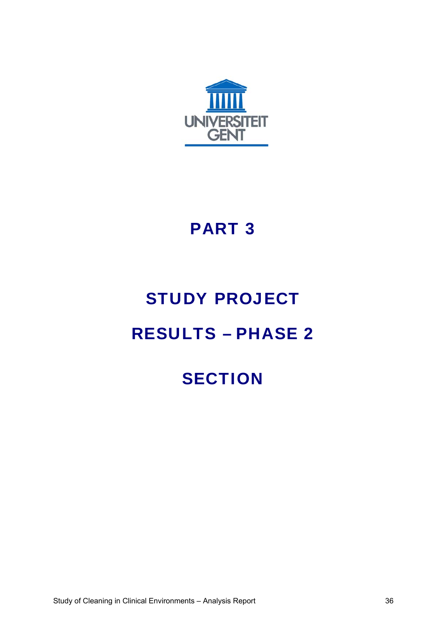

### PART 3

## STUDY PROJECT

### RESULTS – PHASE 2

## **SECTION**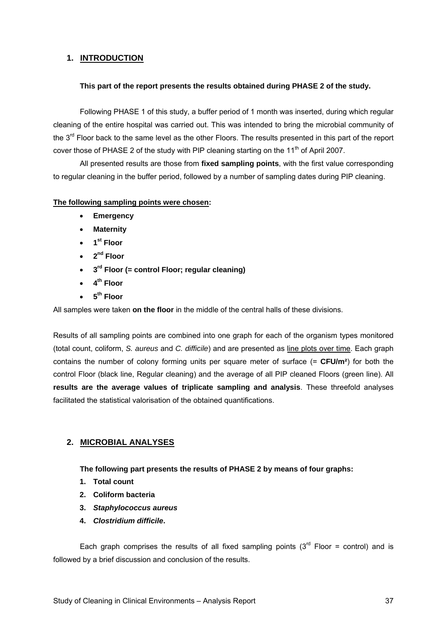### **1. INTRODUCTION**

#### **This part of the report presents the results obtained during PHASE 2 of the study.**

 Following PHASE 1 of this study, a buffer period of 1 month was inserted, during which regular cleaning of the entire hospital was carried out. This was intended to bring the microbial community of the 3<sup>rd</sup> Floor back to the same level as the other Floors. The results presented in this part of the report cover those of PHASE 2 of the study with PIP cleaning starting on the 11<sup>th</sup> of April 2007.

 All presented results are those from **fixed sampling points**, with the first value corresponding to regular cleaning in the buffer period, followed by a number of sampling dates during PIP cleaning.

#### **The following sampling points were chosen:**

- **Emergency**
- **Maternity**
- **1st Floor**
- **2nd Floor**
- **3rd Floor (= control Floor; regular cleaning)**
- **4th Floor**
- **5th Floor**

All samples were taken **on the floor** in the middle of the central halls of these divisions.

Results of all sampling points are combined into one graph for each of the organism types monitored (total count, coliform, *S. aureus* and *C. difficile*) and are presented as line plots over time. Each graph contains the number of colony forming units per square meter of surface (= **CFU/m²**) for both the control Floor (black line, Regular cleaning) and the average of all PIP cleaned Floors (green line). All **results are the average values of triplicate sampling and analysis**. These threefold analyses facilitated the statistical valorisation of the obtained quantifications.

#### **2. MICROBIAL ANALYSES**

 **The following part presents the results of PHASE 2 by means of four graphs:** 

- **1. Total count**
- **2. Coliform bacteria**
- **3.** *Staphylococcus aureus*
- **4.** *Clostridium difficile***.**

Each graph comprises the results of all fixed sampling points  $3<sup>rd</sup>$  Floor = control) and is followed by a brief discussion and conclusion of the results.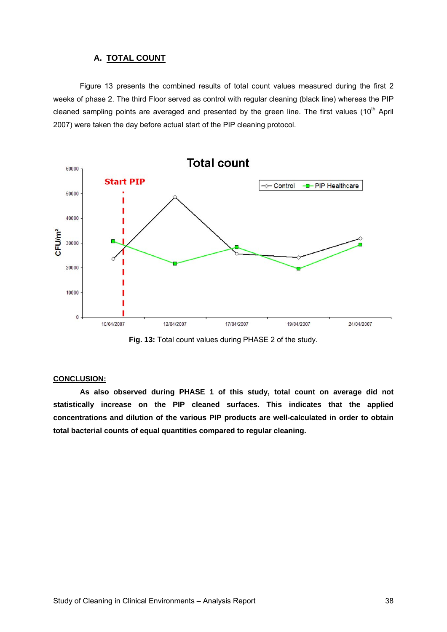#### **A. TOTAL COUNT**

Figure 13 presents the combined results of total count values measured during the first 2 weeks of phase 2. The third Floor served as control with regular cleaning (black line) whereas the PIP cleaned sampling points are averaged and presented by the green line. The first values (10<sup>th</sup> April 2007) were taken the day before actual start of the PIP cleaning protocol.



**Fig. 13:** Total count values during PHASE 2 of the study.

#### **CONCLUSION:**

 **As also observed during PHASE 1 of this study, total count on average did not statistically increase on the PIP cleaned surfaces. This indicates that the applied concentrations and dilution of the various PIP products are well-calculated in order to obtain total bacterial counts of equal quantities compared to regular cleaning.**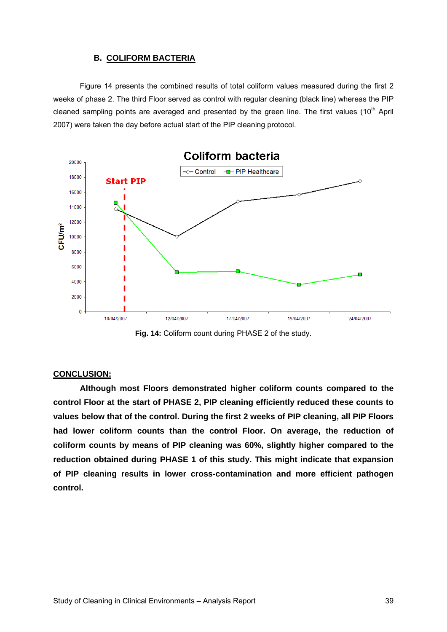#### **B. COLIFORM BACTERIA**

 Figure 14 presents the combined results of total coliform values measured during the first 2 weeks of phase 2. The third Floor served as control with regular cleaning (black line) whereas the PIP cleaned sampling points are averaged and presented by the green line. The first values  $(10<sup>th</sup>$  April 2007) were taken the day before actual start of the PIP cleaning protocol.



**Fig. 14:** Coliform count during PHASE 2 of the study.

#### **CONCLUSION:**

 **Although most Floors demonstrated higher coliform counts compared to the control Floor at the start of PHASE 2, PIP cleaning efficiently reduced these counts to values below that of the control. During the first 2 weeks of PIP cleaning, all PIP Floors had lower coliform counts than the control Floor. On average, the reduction of coliform counts by means of PIP cleaning was 60%, slightly higher compared to the reduction obtained during PHASE 1 of this study. This might indicate that expansion of PIP cleaning results in lower cross-contamination and more efficient pathogen control.**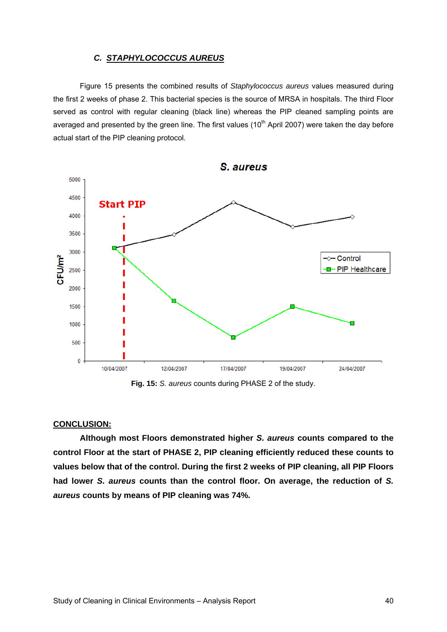#### *C. STAPHYLOCOCCUS AUREUS*

 Figure 15 presents the combined results of *Staphylococcus aureus* values measured during the first 2 weeks of phase 2. This bacterial species is the source of MRSA in hospitals. The third Floor served as control with regular cleaning (black line) whereas the PIP cleaned sampling points are averaged and presented by the green line. The first values  $(10<sup>th</sup>$  April 2007) were taken the day before actual start of the PIP cleaning protocol.



**Fig. 15:** *S. aureus* counts during PHASE 2 of the study.

#### **CONCLUSION:**

 **Although most Floors demonstrated higher** *S. aureus* **counts compared to the control Floor at the start of PHASE 2, PIP cleaning efficiently reduced these counts to values below that of the control. During the first 2 weeks of PIP cleaning, all PIP Floors had lower** *S. aureus* **counts than the control floor. On average, the reduction of** *S. aureus* **counts by means of PIP cleaning was 74%.**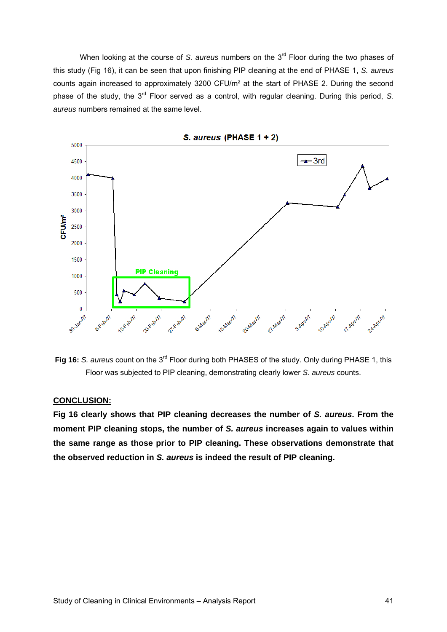When looking at the course of *S. aureus* numbers on the 3<sup>rd</sup> Floor during the two phases of this study (Fig 16), it can be seen that upon finishing PIP cleaning at the end of PHASE 1, *S. aureus* counts again increased to approximately 3200 CFU/m² at the start of PHASE 2. During the second phase of the study, the 3<sup>rd</sup> Floor served as a control, with regular cleaning. During this period, S. *aureus* numbers remained at the same level.



**Fig 16:** S. aureus count on the 3<sup>rd</sup> Floor during both PHASES of the study. Only during PHASE 1, this Floor was subjected to PIP cleaning, demonstrating clearly lower *S. aureus* counts.

#### **CONCLUSION:**

**Fig 16 clearly shows that PIP cleaning decreases the number of** *S. aureus***. From the moment PIP cleaning stops, the number of** *S. aureus* **increases again to values within the same range as those prior to PIP cleaning. These observations demonstrate that the observed reduction in** *S. aureus* **is indeed the result of PIP cleaning.**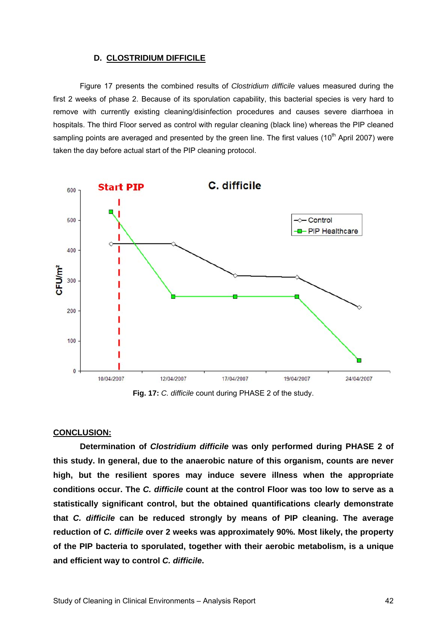#### **D. CLOSTRIDIUM DIFFICILE**

 Figure 17 presents the combined results of *Clostridium difficile* values measured during the first 2 weeks of phase 2. Because of its sporulation capability, this bacterial species is very hard to remove with currently existing cleaning/disinfection procedures and causes severe diarrhoea in hospitals. The third Floor served as control with regular cleaning (black line) whereas the PIP cleaned sampling points are averaged and presented by the green line. The first values ( $10<sup>th</sup>$  April 2007) were taken the day before actual start of the PIP cleaning protocol.



**Fig. 17:** *C. difficile* count during PHASE 2 of the study.

#### **CONCLUSION:**

 **Determination of** *Clostridium difficile* **was only performed during PHASE 2 of this study. In general, due to the anaerobic nature of this organism, counts are never high, but the resilient spores may induce severe illness when the appropriate conditions occur. The** *C. difficile* **count at the control Floor was too low to serve as a statistically significant control, but the obtained quantifications clearly demonstrate that** *C. difficile* **can be reduced strongly by means of PIP cleaning. The average reduction of** *C. difficile* **over 2 weeks was approximately 90%. Most likely, the property of the PIP bacteria to sporulated, together with their aerobic metabolism, is a unique and efficient way to control** *C. difficile***.**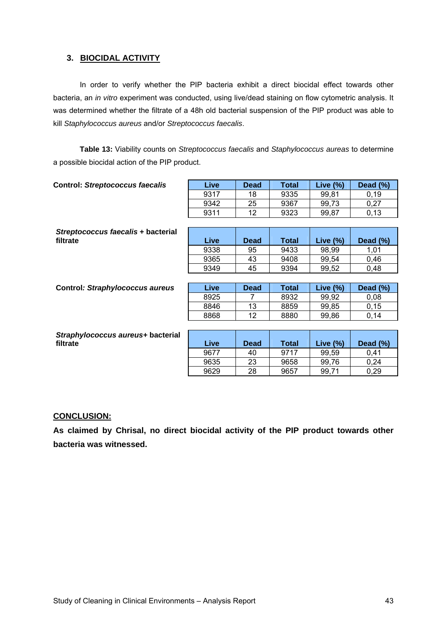#### **3. BIOCIDAL ACTIVITY**

 In order to verify whether the PIP bacteria exhibit a direct biocidal effect towards other bacteria, an *in vitro* experiment was conducted, using live/dead staining on flow cytometric analysis. It was determined whether the filtrate of a 48h old bacterial suspension of the PIP product was able to kill *Staphylococcus aureus* and/or *Streptococcus faecalis*.

**Table 13:** Viability counts on *Streptococcus faecalis* and *Staphylococcus aureas* to determine a possible biocidal action of the PIP product.

| 18<br>25<br>12<br><b>Dead</b> | 9335<br>9367<br>9323<br>Total | 99,81<br>99,73<br>99,87 | 0,19<br>0,27<br>0,13 |
|-------------------------------|-------------------------------|-------------------------|----------------------|
|                               |                               |                         |                      |
|                               |                               |                         |                      |
|                               |                               |                         |                      |
|                               |                               |                         |                      |
|                               |                               |                         |                      |
|                               |                               | Live $(\%)$             | Dead (%)             |
|                               | 9433                          | 98,99                   | 1,01                 |
| 43                            | 9408                          | 99,54                   | 0,46                 |
| 45                            | 9394                          | 99,52                   | 0,48                 |
|                               |                               |                         |                      |
| <b>Dead</b>                   | <b>Total</b>                  | Live $(\%)$             | Dead (%)             |
| 7                             | 8932                          | 99,92                   | 0,08                 |
| 13                            | 8859                          | 99,85                   | 0, 15                |
| 12                            | 8880                          | 99,86                   | 0,14                 |
|                               |                               |                         |                      |
|                               |                               |                         |                      |
| <b>Dead</b>                   | <b>Total</b>                  | Live $(\%)$             | Dead (%)             |
| 40                            | 9717                          | 99,59                   | 0,41                 |
| 23                            | 9658                          | 99,76                   | 0,24                 |
| 28                            | 9657                          | 99,71                   | 0,29                 |
|                               | 95                            |                         |                      |

#### **CONCLUSION:**

**As claimed by Chrisal, no direct biocidal activity of the PIP product towards other bacteria was witnessed.**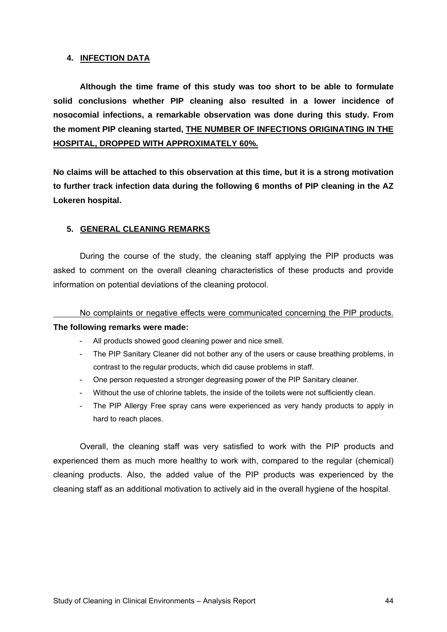#### **4. INFECTION DATA**

 **Although the time frame of this study was too short to be able to formulate solid conclusions whether PIP cleaning also resulted in a lower incidence of nosocomial infections, a remarkable observation was done during this study. From the moment PIP cleaning started, THE NUMBER OF INFECTIONS ORIGINATING IN THE HOSPITAL, DROPPED WITH APPROXIMATELY 60%.**

**No claims will be attached to this observation at this time, but it is a strong motivation to further track infection data during the following 6 months of PIP cleaning in the AZ Lokeren hospital.** 

### **5. GENERAL CLEANING REMARKS**

 During the course of the study, the cleaning staff applying the PIP products was asked to comment on the overall cleaning characteristics of these products and provide information on potential deviations of the cleaning protocol.

#### No complaints or negative effects were communicated concerning the PIP products.

#### **The following remarks were made:**

- All products showed good cleaning power and nice smell.
- The PIP Sanitary Cleaner did not bother any of the users or cause breathing problems, in contrast to the regular products, which did cause problems in staff.
- One person requested a stronger degreasing power of the PIP Sanitary cleaner.
- Without the use of chlorine tablets, the inside of the toilets were not sufficiently clean.
- The PIP Allergy Free spray cans were experienced as very handy products to apply in hard to reach places.

 Overall, the cleaning staff was very satisfied to work with the PIP products and experienced them as much more healthy to work with, compared to the regular (chemical) cleaning products. Also, the added value of the PIP products was experienced by the cleaning staff as an additional motivation to actively aid in the overall hygiene of the hospital.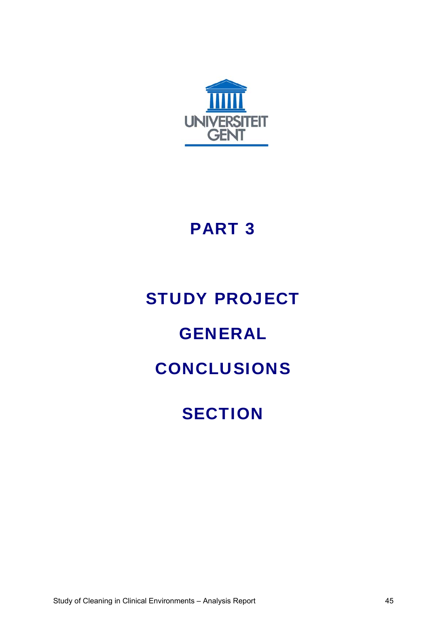

### PART 3

### STUDY PROJECT

### GENERAL

### CONCLUSIONS

### **SECTION**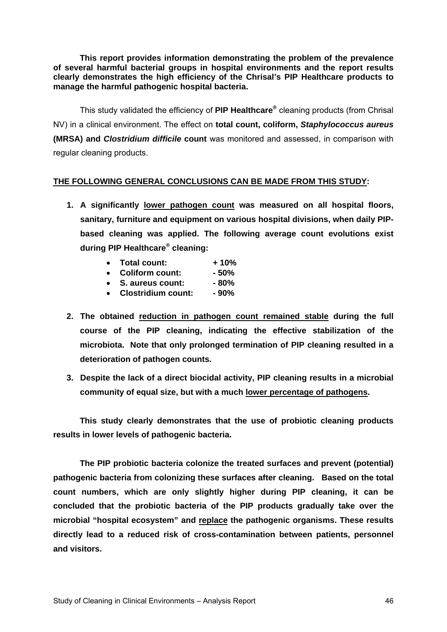**This report provides information demonstrating the problem of the prevalence of several harmful bacterial groups in hospital environments and the report results clearly demonstrates the high efficiency of the Chrisal's PIP Healthcare products to manage the harmful pathogenic hospital bacteria.** 

This study validated the efficiency of **PIP Healthcare®** cleaning products (from Chrisal NV) in a clinical environment. The effect on **total count, coliform,** *Staphylococcus aureus* **(MRSA) and** *Clostridium difficile* **count** was monitored and assessed, in comparison with regular cleaning products.

#### **THE FOLLOWING GENERAL CONCLUSIONS CAN BE MADE FROM THIS STUDY:**

- **1. A significantly lower pathogen count was measured on all hospital floors, sanitary, furniture and equipment on various hospital divisions, when daily PIPbased cleaning was applied. The following average count evolutions exist during PIP Healthcare® cleaning:** 
	- **Total count: + 10%**
	- **Coliform count: 50%**
	- **S. aureus count: 80%**
	- **Clostridium count: 90%**
- **2. The obtained reduction in pathogen count remained stable during the full course of the PIP cleaning, indicating the effective stabilization of the microbiota. Note that only prolonged termination of PIP cleaning resulted in a deterioration of pathogen counts.**
- **3. Despite the lack of a direct biocidal activity, PIP cleaning results in a microbial community of equal size, but with a much lower percentage of pathogens.**

 **This study clearly demonstrates that the use of probiotic cleaning products results in lower levels of pathogenic bacteria.** 

**The PIP probiotic bacteria colonize the treated surfaces and prevent (potential) pathogenic bacteria from colonizing these surfaces after cleaning. Based on the total count numbers, which are only slightly higher during PIP cleaning, it can be concluded that the probiotic bacteria of the PIP products gradually take over the microbial "hospital ecosystem" and replace the pathogenic organisms. These results directly lead to a reduced risk of cross-contamination between patients, personnel and visitors.**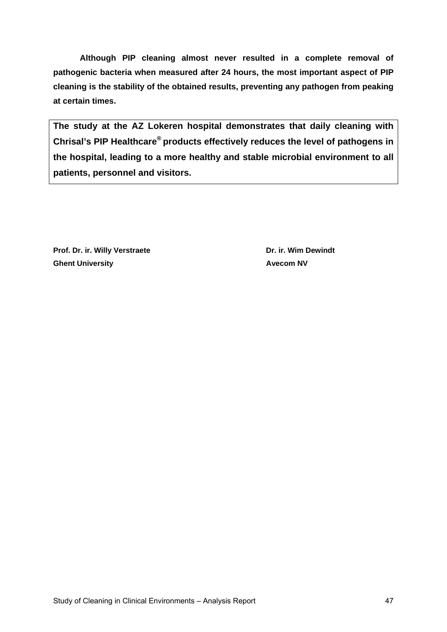**Although PIP cleaning almost never resulted in a complete removal of pathogenic bacteria when measured after 24 hours, the most important aspect of PIP cleaning is the stability of the obtained results, preventing any pathogen from peaking at certain times.** 

**The study at the AZ Lokeren hospital demonstrates that daily cleaning with Chrisal's PIP Healthcare® products effectively reduces the level of pathogens in the hospital, leading to a more healthy and stable microbial environment to all patients, personnel and visitors.** 

Prof. Dr. ir. Willy Verstraete **Dr. ir. Wim Dewindt Dr. ir. Wim Dewindt Ghent University Avecom NV**